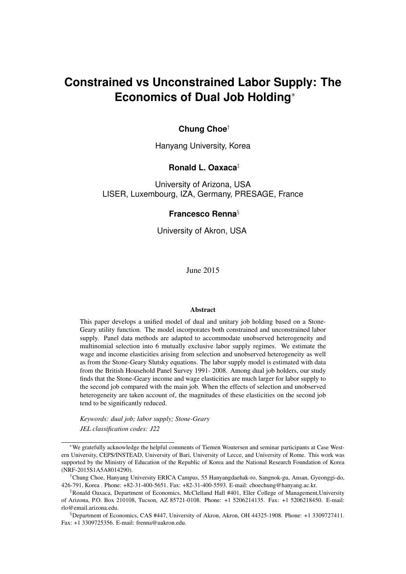# **Constrained vs Unconstrained Labor Supply: The Economics of Dual Job Holding**<sup>∗</sup>

## **Chung Choe**†

Hanyang University, Korea

### **Ronald L. Oaxaca**‡

University of Arizona, USA LISER, Luxembourg, IZA, Germany, PRESAGE, France

#### **Francesco Renna**§

University of Akron, USA

June 2015

#### Abstract

This paper develops a unified model of dual and unitary job holding based on a Stone-Geary utility function. The model incorporates both constrained and unconstrained labor supply. Panel data methods are adapted to accommodate unobserved heterogeneity and multinomial selection into 6 mutually exclusive labor supply regimes. We estimate the wage and income elasticities arising from selection and unobserved heterogeneity as well as from the Stone-Geary Slutsky equations. The labor supply model is estimated with data from the British Household Panel Survey 1991- 2008. Among dual job holders, our study finds that the Stone-Geary income and wage elasticities are much larger for labor supply to the second job compared with the main job. When the effects of selection and unobserved heterogeneity are taken account of, the magnitudes of these elasticities on the second job tend to be significantly reduced.

*Keywords: dual job; labor supply; Stone-Geary JEL classification codes: J22*

<sup>∗</sup>We gratefully acknowledge the helpful comments of Tiemen Woutersen and seminar participants at Case Western University, CEPS/INSTEAD, University of Bari, University of Lecce, and University of Rome. This work was supported by the Ministry of Education of the Republic of Korea and the National Research Foundation of Korea (NRF-2015S1A5A8014290).

<sup>†</sup>Chung Choe, Hanyang University ERICA Campus, 55 Hanyangdaehak-ro, Sangnok-gu, Ansan, Gyeonggi-do, 426-791, Korea . Phone: +82-31-400-5651. Fax: +82-31-400-5593. E-mail: choechung@hanyang.ac.kr.

<sup>‡</sup>Ronald Oaxaca, Department of Economics, McClelland Hall #401, Eller College of Management,University of Arizona, P.O. Box 210108, Tucson, AZ 85721-0108. Phone: +1 5206214135. Fax: +1 5206218450. E-mail: rlo@email.arizona.edu.

<sup>§</sup>Department of Economics, CAS #447, University of Akron, Akron, OH 44325-1908. Phone: +1 3309727411. Fax: +1 3309725356. E-mail: frenna@uakron.edu.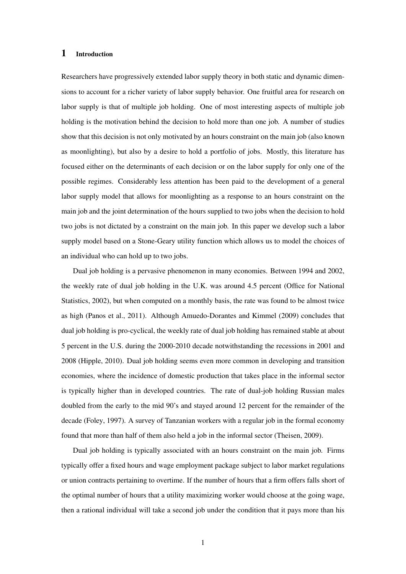### 1 Introduction

Researchers have progressively extended labor supply theory in both static and dynamic dimensions to account for a richer variety of labor supply behavior. One fruitful area for research on labor supply is that of multiple job holding. One of most interesting aspects of multiple job holding is the motivation behind the decision to hold more than one job. A number of studies show that this decision is not only motivated by an hours constraint on the main job (also known as moonlighting), but also by a desire to hold a portfolio of jobs. Mostly, this literature has focused either on the determinants of each decision or on the labor supply for only one of the possible regimes. Considerably less attention has been paid to the development of a general labor supply model that allows for moonlighting as a response to an hours constraint on the main job and the joint determination of the hours supplied to two jobs when the decision to hold two jobs is not dictated by a constraint on the main job. In this paper we develop such a labor supply model based on a Stone-Geary utility function which allows us to model the choices of an individual who can hold up to two jobs.

Dual job holding is a pervasive phenomenon in many economies. Between 1994 and 2002, the weekly rate of dual job holding in the U.K. was around 4.5 percent (Office for National Statistics, 2002), but when computed on a monthly basis, the rate was found to be almost twice as high (Panos et al., 2011). Although Amuedo-Dorantes and Kimmel (2009) concludes that dual job holding is pro-cyclical, the weekly rate of dual job holding has remained stable at about 5 percent in the U.S. during the 2000-2010 decade notwithstanding the recessions in 2001 and 2008 (Hipple, 2010). Dual job holding seems even more common in developing and transition economies, where the incidence of domestic production that takes place in the informal sector is typically higher than in developed countries. The rate of dual-job holding Russian males doubled from the early to the mid 90's and stayed around 12 percent for the remainder of the decade (Foley, 1997). A survey of Tanzanian workers with a regular job in the formal economy found that more than half of them also held a job in the informal sector (Theisen, 2009).

Dual job holding is typically associated with an hours constraint on the main job. Firms typically offer a fixed hours and wage employment package subject to labor market regulations or union contracts pertaining to overtime. If the number of hours that a firm offers falls short of the optimal number of hours that a utility maximizing worker would choose at the going wage, then a rational individual will take a second job under the condition that it pays more than his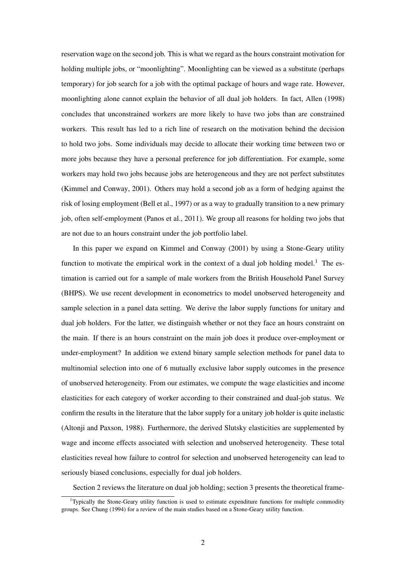reservation wage on the second job. This is what we regard as the hours constraint motivation for holding multiple jobs, or "moonlighting". Moonlighting can be viewed as a substitute (perhaps temporary) for job search for a job with the optimal package of hours and wage rate. However, moonlighting alone cannot explain the behavior of all dual job holders. In fact, Allen (1998) concludes that unconstrained workers are more likely to have two jobs than are constrained workers. This result has led to a rich line of research on the motivation behind the decision to hold two jobs. Some individuals may decide to allocate their working time between two or more jobs because they have a personal preference for job differentiation. For example, some workers may hold two jobs because jobs are heterogeneous and they are not perfect substitutes (Kimmel and Conway, 2001). Others may hold a second job as a form of hedging against the risk of losing employment (Bell et al., 1997) or as a way to gradually transition to a new primary job, often self-employment (Panos et al., 2011). We group all reasons for holding two jobs that are not due to an hours constraint under the job portfolio label.

In this paper we expand on Kimmel and Conway (2001) by using a Stone-Geary utility function to motivate the empirical work in the context of a dual job holding model.<sup>1</sup> The estimation is carried out for a sample of male workers from the British Household Panel Survey (BHPS). We use recent development in econometrics to model unobserved heterogeneity and sample selection in a panel data setting. We derive the labor supply functions for unitary and dual job holders. For the latter, we distinguish whether or not they face an hours constraint on the main. If there is an hours constraint on the main job does it produce over-employment or under-employment? In addition we extend binary sample selection methods for panel data to multinomial selection into one of 6 mutually exclusive labor supply outcomes in the presence of unobserved heterogeneity. From our estimates, we compute the wage elasticities and income elasticities for each category of worker according to their constrained and dual-job status. We confirm the results in the literature that the labor supply for a unitary job holder is quite inelastic (Altonji and Paxson, 1988). Furthermore, the derived Slutsky elasticities are supplemented by wage and income effects associated with selection and unobserved heterogeneity. These total elasticities reveal how failure to control for selection and unobserved heterogeneity can lead to seriously biased conclusions, especially for dual job holders.

Section 2 reviews the literature on dual job holding; section 3 presents the theoretical frame-

<sup>&</sup>lt;sup>1</sup>Typically the Stone-Geary utility function is used to estimate expenditure functions for multiple commodity groups. See Chung (1994) for a review of the main studies based on a Stone-Geary utility function.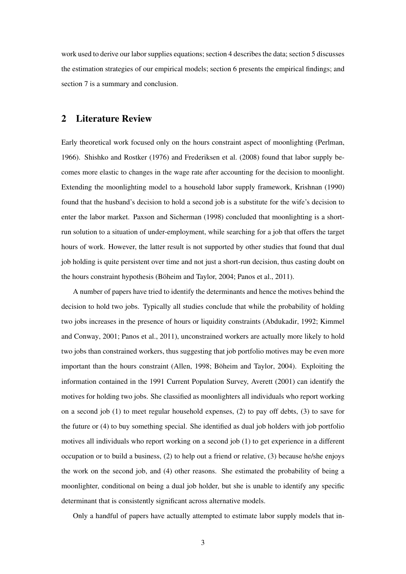work used to derive our labor supplies equations; section 4 describes the data; section 5 discusses the estimation strategies of our empirical models; section 6 presents the empirical findings; and section 7 is a summary and conclusion.

## 2 Literature Review

Early theoretical work focused only on the hours constraint aspect of moonlighting (Perlman, 1966). Shishko and Rostker (1976) and Frederiksen et al. (2008) found that labor supply becomes more elastic to changes in the wage rate after accounting for the decision to moonlight. Extending the moonlighting model to a household labor supply framework, Krishnan (1990) found that the husband's decision to hold a second job is a substitute for the wife's decision to enter the labor market. Paxson and Sicherman (1998) concluded that moonlighting is a shortrun solution to a situation of under-employment, while searching for a job that offers the target hours of work. However, the latter result is not supported by other studies that found that dual job holding is quite persistent over time and not just a short-run decision, thus casting doubt on the hours constraint hypothesis (Böheim and Taylor, 2004; Panos et al., 2011).

A number of papers have tried to identify the determinants and hence the motives behind the decision to hold two jobs. Typically all studies conclude that while the probability of holding two jobs increases in the presence of hours or liquidity constraints (Abdukadir, 1992; Kimmel and Conway, 2001; Panos et al., 2011), unconstrained workers are actually more likely to hold two jobs than constrained workers, thus suggesting that job portfolio motives may be even more important than the hours constraint (Allen, 1998; Böheim and Taylor, 2004). Exploiting the information contained in the 1991 Current Population Survey, Averett (2001) can identify the motives for holding two jobs. She classified as moonlighters all individuals who report working on a second job (1) to meet regular household expenses, (2) to pay off debts, (3) to save for the future or (4) to buy something special. She identified as dual job holders with job portfolio motives all individuals who report working on a second job (1) to get experience in a different occupation or to build a business, (2) to help out a friend or relative, (3) because he/she enjoys the work on the second job, and (4) other reasons. She estimated the probability of being a moonlighter, conditional on being a dual job holder, but she is unable to identify any specific determinant that is consistently significant across alternative models.

Only a handful of papers have actually attempted to estimate labor supply models that in-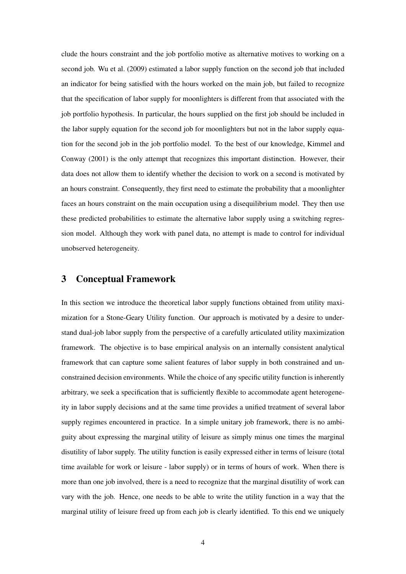clude the hours constraint and the job portfolio motive as alternative motives to working on a second job. Wu et al. (2009) estimated a labor supply function on the second job that included an indicator for being satisfied with the hours worked on the main job, but failed to recognize that the specification of labor supply for moonlighters is different from that associated with the job portfolio hypothesis. In particular, the hours supplied on the first job should be included in the labor supply equation for the second job for moonlighters but not in the labor supply equation for the second job in the job portfolio model. To the best of our knowledge, Kimmel and Conway (2001) is the only attempt that recognizes this important distinction. However, their data does not allow them to identify whether the decision to work on a second is motivated by an hours constraint. Consequently, they first need to estimate the probability that a moonlighter faces an hours constraint on the main occupation using a disequilibrium model. They then use these predicted probabilities to estimate the alternative labor supply using a switching regression model. Although they work with panel data, no attempt is made to control for individual unobserved heterogeneity.

## 3 Conceptual Framework

In this section we introduce the theoretical labor supply functions obtained from utility maximization for a Stone-Geary Utility function. Our approach is motivated by a desire to understand dual-job labor supply from the perspective of a carefully articulated utility maximization framework. The objective is to base empirical analysis on an internally consistent analytical framework that can capture some salient features of labor supply in both constrained and unconstrained decision environments. While the choice of any specific utility function is inherently arbitrary, we seek a specification that is sufficiently flexible to accommodate agent heterogeneity in labor supply decisions and at the same time provides a unified treatment of several labor supply regimes encountered in practice. In a simple unitary job framework, there is no ambiguity about expressing the marginal utility of leisure as simply minus one times the marginal disutility of labor supply. The utility function is easily expressed either in terms of leisure (total time available for work or leisure - labor supply) or in terms of hours of work. When there is more than one job involved, there is a need to recognize that the marginal disutility of work can vary with the job. Hence, one needs to be able to write the utility function in a way that the marginal utility of leisure freed up from each job is clearly identified. To this end we uniquely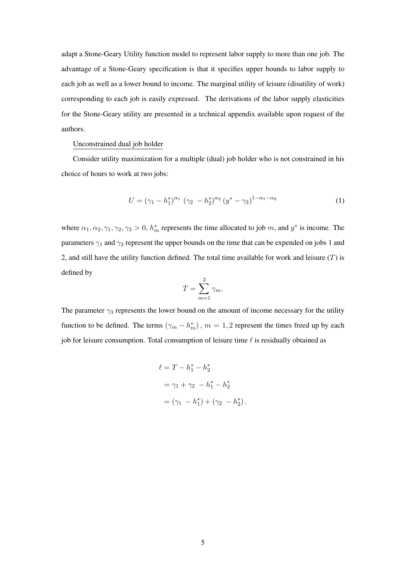adapt a Stone-Geary Utility function model to represent labor supply to more than one job. The advantage of a Stone-Geary specification is that it specifies upper bounds to labor supply to each job as well as a lower bound to income. The marginal utility of leisure (disutility of work) corresponding to each job is easily expressed. The derivations of the labor supply elasticities for the Stone-Geary utility are presented in a technical appendix available upon request of the authors.

#### Unconstrained dual job holder

Consider utility maximization for a multiple (dual) job holder who is not constrained in his choice of hours to work at two jobs:

$$
U = (\gamma_1 - h_1^*)^{\alpha_1} (\gamma_2 - h_2^*)^{\alpha_2} (y^* - \gamma_3)^{1 - \alpha_1 - \alpha_2}
$$
 (1)

where  $\alpha_1, \alpha_2, \gamma_1, \gamma_2, \gamma_3 > 0$ ,  $h_m^*$  represents the time allocated to job m, and  $y^*$  is income. The parameters  $\gamma_1$  and  $\gamma_2$  represent the upper bounds on the time that can be expended on jobs 1 and 2, and still have the utility function defined. The total time available for work and leisure  $(T)$  is defined by

$$
T = \sum_{m=1}^{2} \gamma_m.
$$

The parameter  $\gamma_3$  represents the lower bound on the amount of income necessary for the utility function to be defined. The terms  $(\gamma_m - h_m^*)$ ,  $m = 1, 2$  represent the times freed up by each job for leisure consumption. Total consumption of leisure time  $\ell$  is residually obtained as

$$
\ell = T - h_1^* - h_2^*
$$
  
=  $\gamma_1 + \gamma_2 - h_1^* - h_2^*$   
=  $(\gamma_1 - h_1^*) + (\gamma_2 - h_2^*)$ .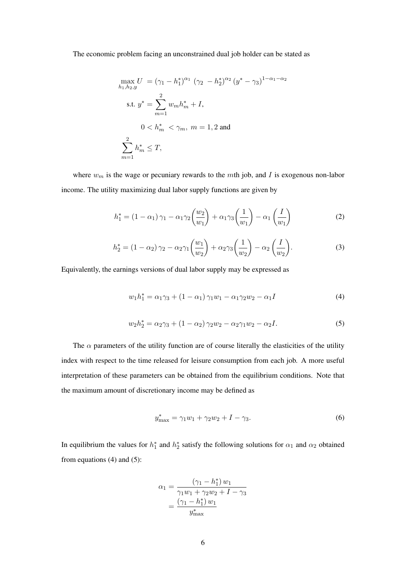The economic problem facing an unconstrained dual job holder can be stated as

$$
\max_{h_1, h_2, y} U = (\gamma_1 - h_1^*)^{\alpha_1} (\gamma_2 - h_2^*)^{\alpha_2} (y^* - \gamma_3)^{1 - \alpha_1 - \alpha_2}
$$
  
s.t.  $y^* = \sum_{m=1}^2 w_m h_m^* + I$ ,  
 $0 < h_m^* < \gamma_m$ ,  $m = 1, 2$  and  
 $\sum_{m=1}^2 h_m^* \le T$ ,

where  $w_m$  is the wage or pecuniary rewards to the mth job, and I is exogenous non-labor income. The utility maximizing dual labor supply functions are given by

$$
h_1^* = \left(1 - \alpha_1\right)\gamma_1 - \alpha_1\gamma_2\left(\frac{w_2}{w_1}\right) + \alpha_1\gamma_3\left(\frac{1}{w_1}\right) - \alpha_1\left(\frac{I}{w_1}\right) \tag{2}
$$

$$
h_2^* = (1 - \alpha_2)\gamma_2 - \alpha_2\gamma_1 \left(\frac{w_1}{w_2}\right) + \alpha_2\gamma_3 \left(\frac{1}{w_2}\right) - \alpha_2 \left(\frac{I}{w_2}\right). \tag{3}
$$

Equivalently, the earnings versions of dual labor supply may be expressed as

$$
w_1 h_1^* = \alpha_1 \gamma_3 + (1 - \alpha_1) \gamma_1 w_1 - \alpha_1 \gamma_2 w_2 - \alpha_1 I \tag{4}
$$

$$
w_2 h_2^* = \alpha_2 \gamma_3 + (1 - \alpha_2) \gamma_2 w_2 - \alpha_2 \gamma_1 w_2 - \alpha_2 I. \tag{5}
$$

The  $\alpha$  parameters of the utility function are of course literally the elasticities of the utility index with respect to the time released for leisure consumption from each job. A more useful interpretation of these parameters can be obtained from the equilibrium conditions. Note that the maximum amount of discretionary income may be defined as

$$
y_{\text{max}}^* = \gamma_1 w_1 + \gamma_2 w_2 + I - \gamma_3. \tag{6}
$$

In equilibrium the values for  $h_1^*$  and  $h_2^*$  satisfy the following solutions for  $\alpha_1$  and  $\alpha_2$  obtained from equations  $(4)$  and  $(5)$ :

$$
\alpha_1 = \frac{(\gamma_1 - h_1^*) w_1}{\gamma_1 w_1 + \gamma_2 w_2 + I - \gamma_3}
$$

$$
= \frac{(\gamma_1 - h_1^*) w_1}{y_{\text{max}}^*}
$$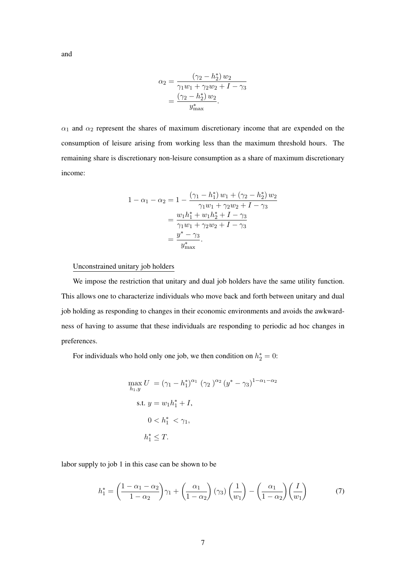and

$$
\alpha_2 = \frac{(\gamma_2 - h_2^*) w_2}{\gamma_1 w_1 + \gamma_2 w_2 + I - \gamma_3} \n= \frac{(\gamma_2 - h_2^*) w_2}{y_{\text{max}}^*}.
$$

 $\alpha_1$  and  $\alpha_2$  represent the shares of maximum discretionary income that are expended on the consumption of leisure arising from working less than the maximum threshold hours. The remaining share is discretionary non-leisure consumption as a share of maximum discretionary income:

$$
1 - \alpha_1 - \alpha_2 = 1 - \frac{(\gamma_1 - h_1^*) w_1 + (\gamma_2 - h_2^*) w_2}{\gamma_1 w_1 + \gamma_2 w_2 + I - \gamma_3}
$$
  
= 
$$
\frac{w_1 h_1^* + w_1 h_2^* + I - \gamma_3}{\gamma_1 w_1 + \gamma_2 w_2 + I - \gamma_3}
$$
  
= 
$$
\frac{y^* - \gamma_3}{y_{\text{max}}^*}.
$$

#### Unconstrained unitary job holders

We impose the restriction that unitary and dual job holders have the same utility function. This allows one to characterize individuals who move back and forth between unitary and dual job holding as responding to changes in their economic environments and avoids the awkwardness of having to assume that these individuals are responding to periodic ad hoc changes in preferences.

For individuals who hold only one job, we then condition on  $h_2^* = 0$ :

$$
\max_{h_1, y} U = (\gamma_1 - h_1^*)^{\alpha_1} (\gamma_2)^{\alpha_2} (y^* - \gamma_3)^{1 - \alpha_1 - \alpha_2}
$$
  
s.t.  $y = w_1 h_1^* + I$ ,  
 $0 < h_1^* < \gamma_1$ ,  
 $h_1^* \le T$ .

labor supply to job 1 in this case can be shown to be

$$
h_1^* = \left(\frac{1-\alpha_1-\alpha_2}{1-\alpha_2}\right)\gamma_1 + \left(\frac{\alpha_1}{1-\alpha_2}\right)(\gamma_3)\left(\frac{1}{w_1}\right) - \left(\frac{\alpha_1}{1-\alpha_2}\right)\left(\frac{I}{w_1}\right) \tag{7}
$$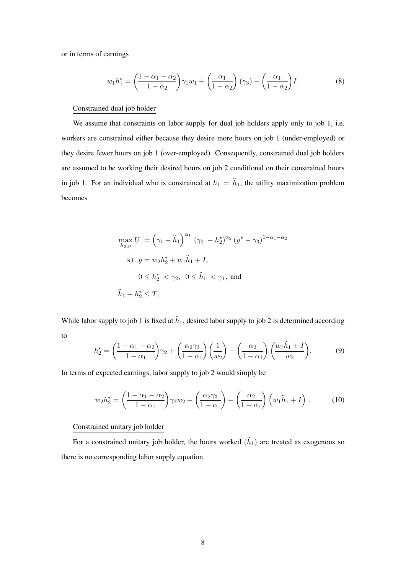or in terms of earnings

$$
w_1 h_1^* = \left(\frac{1-\alpha_1-\alpha_2}{1-\alpha_2}\right) \gamma_1 w_1 + \left(\frac{\alpha_1}{1-\alpha_2}\right) (\gamma_3) - \left(\frac{\alpha_1}{1-\alpha_2}\right) I. \tag{8}
$$

#### Constrained dual job holder

We assume that constraints on labor supply for dual job holders apply only to job 1, i.e. workers are constrained either because they desire more hours on job 1 (under-employed) or they desire fewer hours on job 1 (over-employed). Consequently, constrained dual job holders are assumed to be working their desired hours on job 2 conditional on their constrained hours in job 1. For an individual who is constrained at  $h_1 = \ddot{h}_1$ , the utility maximization problem becomes

$$
\max_{h_2, y} U = (\gamma_1 - \ddot{h}_1)^{\alpha_1} (\gamma_2 - h_2^*)^{\alpha_2} (y^* - \gamma_3)^{1 - \alpha_1 - \alpha_2}
$$
  
s.t.  $y = w_2 h_2^* + w_1 \ddot{h}_1 + I$ ,  
 $0 \le h_2^* < \gamma_2, \ 0 \le \ddot{h}_1 < \gamma_1$ , and  
 $\ddot{h}_1 + h_2^* \le T$ ,

While labor supply to job 1 is fixed at  $\ddot{h}_1$ , desired labor supply to job 2 is determined according to

$$
h_2^* = \left(\frac{1-\alpha_1-\alpha_2}{1-\alpha_1}\right)\gamma_2 + \left(\frac{\alpha_2\gamma_3}{1-\alpha_1}\right)\left(\frac{1}{w_2}\right) - \left(\frac{\alpha_2}{1-\alpha_1}\right)\left(\frac{w_1\ddot{h}_1 + I}{w_2}\right). \tag{9}
$$

In terms of expected earnings, labor supply to job 2 would simply be

$$
w_2 h_2^* = \left(\frac{1-\alpha_1-\alpha_2}{1-\alpha_1}\right) \gamma_2 w_2 + \left(\frac{\alpha_2 \gamma_3}{1-\alpha_1}\right) - \left(\frac{\alpha_2}{1-\alpha_1}\right) \left(w_1 \ddot{h}_1 + I\right) \,. \tag{10}
$$

#### Constrained unitary job holder

For a constrained unitary job holder, the hours worked  $(h_1)$  are treated as exogenous so there is no corresponding labor supply equation.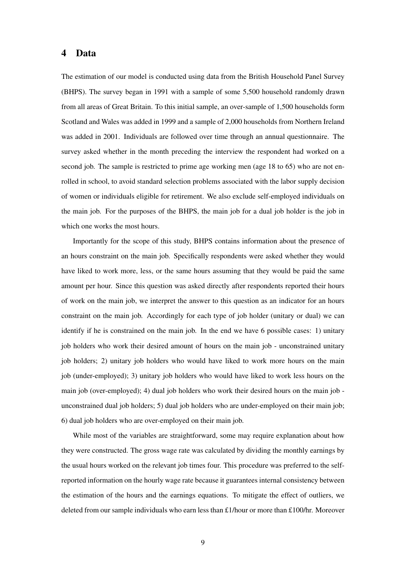## 4 Data

The estimation of our model is conducted using data from the British Household Panel Survey (BHPS). The survey began in 1991 with a sample of some 5,500 household randomly drawn from all areas of Great Britain. To this initial sample, an over-sample of 1,500 households form Scotland and Wales was added in 1999 and a sample of 2,000 households from Northern Ireland was added in 2001. Individuals are followed over time through an annual questionnaire. The survey asked whether in the month preceding the interview the respondent had worked on a second job. The sample is restricted to prime age working men (age 18 to 65) who are not enrolled in school, to avoid standard selection problems associated with the labor supply decision of women or individuals eligible for retirement. We also exclude self-employed individuals on the main job. For the purposes of the BHPS, the main job for a dual job holder is the job in which one works the most hours.

Importantly for the scope of this study, BHPS contains information about the presence of an hours constraint on the main job. Specifically respondents were asked whether they would have liked to work more, less, or the same hours assuming that they would be paid the same amount per hour. Since this question was asked directly after respondents reported their hours of work on the main job, we interpret the answer to this question as an indicator for an hours constraint on the main job. Accordingly for each type of job holder (unitary or dual) we can identify if he is constrained on the main job. In the end we have 6 possible cases: 1) unitary job holders who work their desired amount of hours on the main job - unconstrained unitary job holders; 2) unitary job holders who would have liked to work more hours on the main job (under-employed); 3) unitary job holders who would have liked to work less hours on the main job (over-employed); 4) dual job holders who work their desired hours on the main job unconstrained dual job holders; 5) dual job holders who are under-employed on their main job; 6) dual job holders who are over-employed on their main job.

While most of the variables are straightforward, some may require explanation about how they were constructed. The gross wage rate was calculated by dividing the monthly earnings by the usual hours worked on the relevant job times four. This procedure was preferred to the selfreported information on the hourly wage rate because it guarantees internal consistency between the estimation of the hours and the earnings equations. To mitigate the effect of outliers, we deleted from our sample individuals who earn less than £1/hour or more than £100/hr. Moreover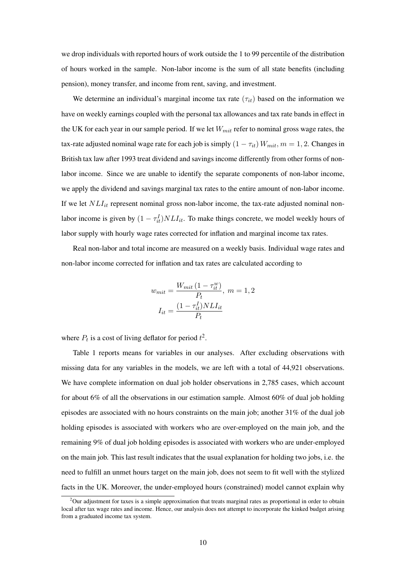we drop individuals with reported hours of work outside the 1 to 99 percentile of the distribution of hours worked in the sample. Non-labor income is the sum of all state benefits (including pension), money transfer, and income from rent, saving, and investment.

We determine an individual's marginal income tax rate  $(\tau_{it})$  based on the information we have on weekly earnings coupled with the personal tax allowances and tax rate bands in effect in the UK for each year in our sample period. If we let  $W<sub>mit</sub>$  refer to nominal gross wage rates, the tax-rate adjusted nominal wage rate for each job is simply  $(1 - \tau_{it}) W_{mit}$ ,  $m = 1, 2$ . Changes in British tax law after 1993 treat dividend and savings income differently from other forms of nonlabor income. Since we are unable to identify the separate components of non-labor income, we apply the dividend and savings marginal tax rates to the entire amount of non-labor income. If we let  $NLI_{it}$  represent nominal gross non-labor income, the tax-rate adjusted nominal nonlabor income is given by  $(1 - \tau_{it}^I) N L I_{it}$ . To make things concrete, we model weekly hours of labor supply with hourly wage rates corrected for inflation and marginal income tax rates.

Real non-labor and total income are measured on a weekly basis. Individual wage rates and non-labor income corrected for inflation and tax rates are calculated according to

$$
w_{mit} = \frac{W_{mit} (1 - \tau_{it}^w)}{P_t}, \ m = 1, 2
$$

$$
I_{it} = \frac{(1 - \tau_{it}^I) N L I_{it}}{P_t}
$$

where  $P_t$  is a cost of living deflator for period  $t^2$ .

Table 1 reports means for variables in our analyses. After excluding observations with missing data for any variables in the models, we are left with a total of 44,921 observations. We have complete information on dual job holder observations in 2,785 cases, which account for about 6% of all the observations in our estimation sample. Almost 60% of dual job holding episodes are associated with no hours constraints on the main job; another 31% of the dual job holding episodes is associated with workers who are over-employed on the main job, and the remaining 9% of dual job holding episodes is associated with workers who are under-employed on the main job. This last result indicates that the usual explanation for holding two jobs, i.e. the need to fulfill an unmet hours target on the main job, does not seem to fit well with the stylized facts in the UK. Moreover, the under-employed hours (constrained) model cannot explain why

 $2$ Our adjustment for taxes is a simple approximation that treats marginal rates as proportional in order to obtain local after tax wage rates and income. Hence, our analysis does not attempt to incorporate the kinked budget arising from a graduated income tax system.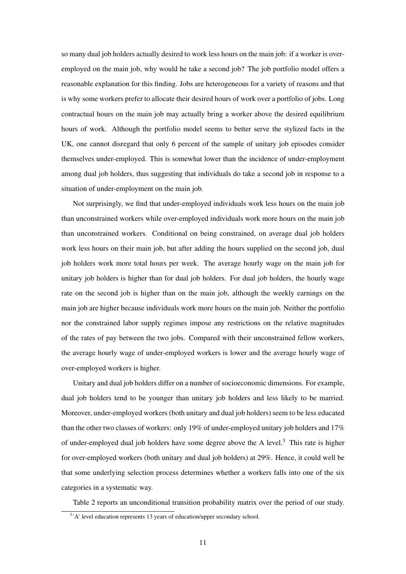so many dual job holders actually desired to work less hours on the main job: if a worker is overemployed on the main job, why would he take a second job? The job portfolio model offers a reasonable explanation for this finding. Jobs are heterogeneous for a variety of reasons and that is why some workers prefer to allocate their desired hours of work over a portfolio of jobs. Long contractual hours on the main job may actually bring a worker above the desired equilibrium hours of work. Although the portfolio model seems to better serve the stylized facts in the UK, one cannot disregard that only 6 percent of the sample of unitary job episodes consider themselves under-employed. This is somewhat lower than the incidence of under-employment among dual job holders, thus suggesting that individuals do take a second job in response to a situation of under-employment on the main job.

Not surprisingly, we find that under-employed individuals work less hours on the main job than unconstrained workers while over-employed individuals work more hours on the main job than unconstrained workers. Conditional on being constrained, on average dual job holders work less hours on their main job, but after adding the hours supplied on the second job, dual job holders work more total hours per week. The average hourly wage on the main job for unitary job holders is higher than for dual job holders. For dual job holders, the hourly wage rate on the second job is higher than on the main job, although the weekly earnings on the main job are higher because individuals work more hours on the main job. Neither the portfolio nor the constrained labor supply regimes impose any restrictions on the relative magnitudes of the rates of pay between the two jobs. Compared with their unconstrained fellow workers, the average hourly wage of under-employed workers is lower and the average hourly wage of over-employed workers is higher.

Unitary and dual job holders differ on a number of socioeconomic dimensions. For example, dual job holders tend to be younger than unitary job holders and less likely to be married. Moreover, under-employed workers (both unitary and dual job holders) seem to be less educated than the other two classes of workers: only 19% of under-employed unitary job holders and 17% of under-employed dual job holders have some degree above the A level. $3$  This rate is higher for over-employed workers (both unitary and dual job holders) at 29%. Hence, it could well be that some underlying selection process determines whether a workers falls into one of the six categories in a systematic way.

Table 2 reports an unconditional transition probability matrix over the period of our study.

<sup>&</sup>lt;sup>3</sup>'A' level education represents 13 years of education/upper secondary school.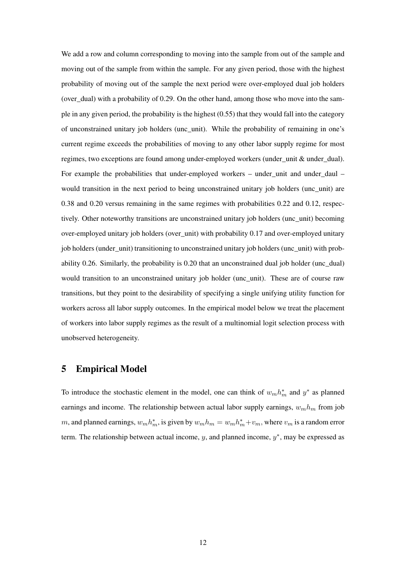We add a row and column corresponding to moving into the sample from out of the sample and moving out of the sample from within the sample. For any given period, those with the highest probability of moving out of the sample the next period were over-employed dual job holders (over dual) with a probability of 0.29. On the other hand, among those who move into the sample in any given period, the probability is the highest (0.55) that they would fall into the category of unconstrained unitary job holders (unc\_unit). While the probability of remaining in one's current regime exceeds the probabilities of moving to any other labor supply regime for most regimes, two exceptions are found among under-employed workers (under unit & under dual). For example the probabilities that under-employed workers – under\_unit and under\_daul – would transition in the next period to being unconstrained unitary job holders (unc\_unit) are 0.38 and 0.20 versus remaining in the same regimes with probabilities 0.22 and 0.12, respectively. Other noteworthy transitions are unconstrained unitary job holders (unc\_unit) becoming over-employed unitary job holders (over\_unit) with probability 0.17 and over-employed unitary job holders (under\_unit) transitioning to unconstrained unitary job holders (unc\_unit) with probability 0.26. Similarly, the probability is 0.20 that an unconstrained dual job holder (unc\_dual) would transition to an unconstrained unitary job holder (unc\_unit). These are of course raw transitions, but they point to the desirability of specifying a single unifying utility function for workers across all labor supply outcomes. In the empirical model below we treat the placement of workers into labor supply regimes as the result of a multinomial logit selection process with unobserved heterogeneity.

## 5 Empirical Model

To introduce the stochastic element in the model, one can think of  $w_m h_m^*$  and  $y^*$  as planned earnings and income. The relationship between actual labor supply earnings,  $w_m h_m$  from job m, and planned earnings,  $w_m h_m^*$ , is given by  $w_m h_m = w_m h_m^* + v_m$ , where  $v_m$  is a random error term. The relationship between actual income,  $y$ , and planned income,  $y^*$ , may be expressed as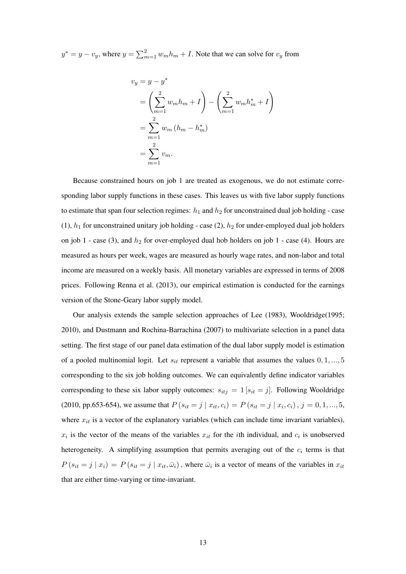$y^* = y - v_y$ , where  $y = \sum_{m=1}^{2} w_m h_m + I$ . Note that we can solve for  $v_y$  from

$$
v_y = y - y^*
$$
  
=  $\left(\sum_{m=1}^{2} w_m h_m + I\right) - \left(\sum_{m=1}^{2} w_m h_m^* + I\right)$   
=  $\sum_{m=1}^{2} w_m (h_m - h_m^*)$   
=  $\sum_{m=1}^{2} v_m$ .

Because constrained hours on job 1 are treated as exogenous, we do not estimate corresponding labor supply functions in these cases. This leaves us with five labor supply functions to estimate that span four selection regimes:  $h_1$  and  $h_2$  for unconstrained dual job holding - case (1),  $h_1$  for unconstrained unitary job holding - case (2),  $h_2$  for under-employed dual job holders on job 1 - case (3), and  $h_2$  for over-employed dual hob holders on job 1 - case (4). Hours are measured as hours per week, wages are measured as hourly wage rates, and non-labor and total income are measured on a weekly basis. All monetary variables are expressed in terms of 2008 prices. Following Renna et al. (2013), our empirical estimation is conducted for the earnings version of the Stone-Geary labor supply model.

Our analysis extends the sample selection approaches of Lee (1983), Wooldridge(1995; 2010), and Dustmann and Rochina-Barrachina (2007) to multivariate selection in a panel data setting. The first stage of our panel data estimation of the dual labor supply model is estimation of a pooled multinomial logit. Let  $s_{it}$  represent a variable that assumes the values  $0, 1, ..., 5$ corresponding to the six job holding outcomes. We can equivalently define indicator variables corresponding to these six labor supply outcomes:  $s_{itj} = 1$  [ $s_{it} = j$ ]. Following Wooldridge (2010, pp.653-654), we assume that  $P(s_{it} = j | x_{it}, c_i) = P(s_{it} = j | x_i, c_i)$ ,  $j = 0, 1, ..., 5$ , where  $x_{it}$  is a vector of the explanatory variables (which can include time invariant variables),  $x_i$  is the vector of the means of the variables  $x_{it}$  for the *i*th individual, and  $c_i$  is unobserved heterogeneity. A simplifying assumption that permits averaging out of the  $c_i$  terms is that  $P(s_{it} = j | x_i) = P(s_{it} = j | x_{it}, \bar{\omega}_i)$ , where  $\bar{\omega}_i$  is a vector of means of the variables in  $x_{it}$ that are either time-varying or time-invariant.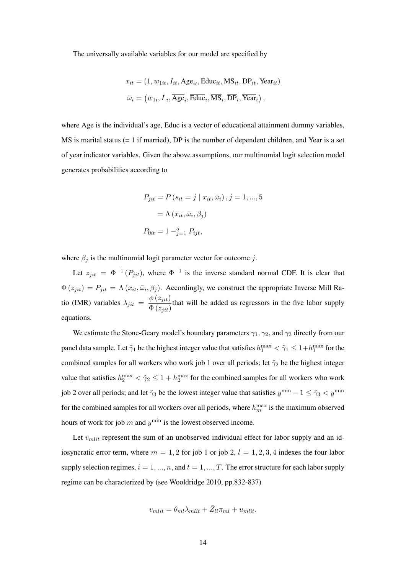The universally available variables for our model are specified by

$$
x_{it} = (1, w_{1it}, I_{it}, \text{Age}_{it}, \text{Educ}_{it}, \text{MS}_{it}, \text{DP}_{it}, \text{Year}_{it})
$$

$$
\bar{\omega}_i = (\bar{w}_{1i}, \bar{I}_i, \overline{\text{Age}}_i, \overline{\text{Educ}}_i, \overline{\text{MS}}_i, \overline{\text{DP}}_i, \overline{\text{Year}}_i),
$$

where Age is the individual's age, Educ is a vector of educational attainment dummy variables, MS is marital status (= 1 if married), DP is the number of dependent children, and Year is a set of year indicator variables. Given the above assumptions, our multinomial logit selection model generates probabilities according to

$$
P_{jit} = P(s_{it} = j \mid x_{it}, \bar{\omega}_i), j = 1, ..., 5
$$

$$
= \Lambda(x_{it}, \bar{\omega}_i, \beta_j)
$$

$$
P_{0it} = 1 - \sum_{j=1}^{5} P_{ijt},
$$

where  $\beta_i$  is the multinomial logit parameter vector for outcome j.

Let  $z_{jit} = \Phi^{-1}(P_{jit})$ , where  $\Phi^{-1}$  is the inverse standard normal CDF. It is clear that  $\Phi(z_{jit}) = P_{jit} = \Lambda(x_{it}, \bar{\omega}_i, \beta_j)$ . Accordingly, we construct the appropriate Inverse Mill Ratio (IMR) variables  $\lambda_{jit} = \frac{\phi(z_{jit})}{\phi(z_{jit})}$  $\frac{\partial^2 \langle z_j u \rangle}{\partial \Phi(z_{jit})}$  that will be added as regressors in the five labor supply equations.

We estimate the Stone-Geary model's boundary parameters  $\gamma_1, \gamma_2$ , and  $\gamma_3$  directly from our panel data sample. Let  $\tilde{\gamma}_1$  be the highest integer value that satisfies  $h_1^{\max} < \tilde{\gamma}_1 \le 1 + h_1^{\max}$  for the combined samples for all workers who work job 1 over all periods; let  $\tilde{\gamma}_2$  be the highest integer value that satisfies  $h_2^{\text{max}} < \tilde{\gamma}_2 \leq 1 + h_2^{\text{max}}$  for the combined samples for all workers who work job 2 over all periods; and let  $\tilde{\gamma}_3$  be the lowest integer value that satisfies  $y^{\min}-1 \le \tilde{\gamma}_3 < y^{\min}$ for the combined samples for all workers over all periods, where  $h_m^{\max}$  is the maximum observed hours of work for job m and  $y^{\min}$  is the lowest observed income.

Let  $v<sub>mlit</sub>$  represent the sum of an unobserved individual effect for labor supply and an idiosyncratic error term, where  $m = 1, 2$  for job 1 or job 2,  $l = 1, 2, 3, 4$  indexes the four labor supply selection regimes,  $i = 1, ..., n$ , and  $t = 1, ..., T$ . The error structure for each labor supply regime can be characterized by (see Wooldridge 2010, pp.832-837)

$$
v_{mlit} = \theta_{ml} \lambda_{mlit} + \bar{Z}_{li} \pi_{ml} + u_{mlit}.
$$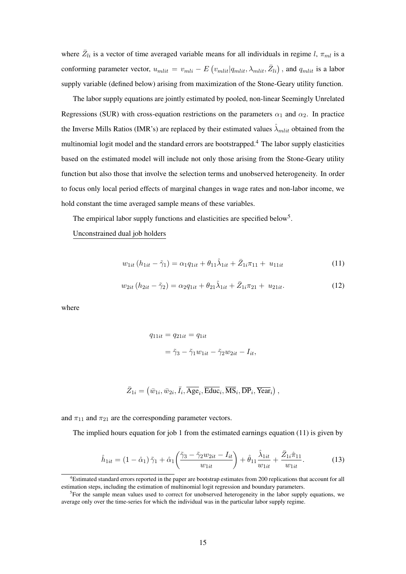where  $\bar{Z}_{li}$  is a vector of time averaged variable means for all individuals in regime l,  $\pi_{ml}$  is a conforming parameter vector,  $u_{mlit} = v_{mli} - E(v_{mlit} | q_{mlit}, \lambda_{mlit}, \bar{Z}_{li})$ , and  $q_{mlit}$  is a labor supply variable (defined below) arising from maximization of the Stone-Geary utility function.

The labor supply equations are jointly estimated by pooled, non-linear Seemingly Unrelated Regressions (SUR) with cross-equation restrictions on the parameters  $\alpha_1$  and  $\alpha_2$ . In practice the Inverse Mills Ratios (IMR's) are replaced by their estimated values  $\hat{\lambda}_{mlit}$  obtained from the multinomial logit model and the standard errors are bootstrapped.<sup>4</sup> The labor supply elasticities based on the estimated model will include not only those arising from the Stone-Geary utility function but also those that involve the selection terms and unobserved heterogeneity. In order to focus only local period effects of marginal changes in wage rates and non-labor income, we hold constant the time averaged sample means of these variables.

The empirical labor supply functions and elasticities are specified below<sup>5</sup>.

#### Unconstrained dual job holders

$$
w_{1it} (h_{1it} - \tilde{\gamma}_1) = \alpha_1 q_{1it} + \theta_{11} \hat{\lambda}_{1it} + \bar{Z}_{1i} \pi_{11} + u_{11it}
$$
 (11)

$$
w_{2it} (h_{2it} - \tilde{\gamma}_2) = \alpha_2 q_{1it} + \theta_{21} \hat{\lambda}_{1it} + \bar{Z}_{1i} \pi_{21} + u_{21it}.
$$
 (12)

where

$$
q_{11it} = q_{21it} = q_{1it}
$$
  
= 
$$
\tilde{\gamma}_3 - \tilde{\gamma}_1 w_{1it} - \tilde{\gamma}_2 w_{2it} - I_{it},
$$

$$
\bar{Z}_{1i} = \left(\bar{w}_{1i}, \bar{w}_{2i}, \bar{I}_i, \overline{\text{Age}}_i, \overline{\text{Educ}}_i, \overline{\text{MS}}_i, \overline{\text{DP}}_i, \overline{\text{Year}}_i\right),
$$

and  $\pi_{11}$  and  $\pi_{21}$  are the corresponding parameter vectors.

The implied hours equation for job 1 from the estimated earnings equation (11) is given by

$$
\hat{h}_{1it} = (1 - \hat{\alpha}_1) \tilde{\gamma}_1 + \hat{\alpha}_1 \left( \frac{\tilde{\gamma}_3 - \tilde{\gamma}_2 w_{2it} - I_{it}}{w_{1it}} \right) + \hat{\theta}_{11} \frac{\hat{\lambda}_{1it}}{w_{1it}} + \frac{\bar{Z}_{1i} \hat{\pi}_{11}}{w_{1it}}.
$$
(13)

<sup>4</sup>Estimated standard errors reported in the paper are bootstrap estimates from 200 replications that account for all estimation steps, including the estimation of multinomial logit regression and boundary parameters.

<sup>&</sup>lt;sup>5</sup>For the sample mean values used to correct for unobserved heterogeneity in the labor supply equations, we average only over the time-series for which the individual was in the particular labor supply regime.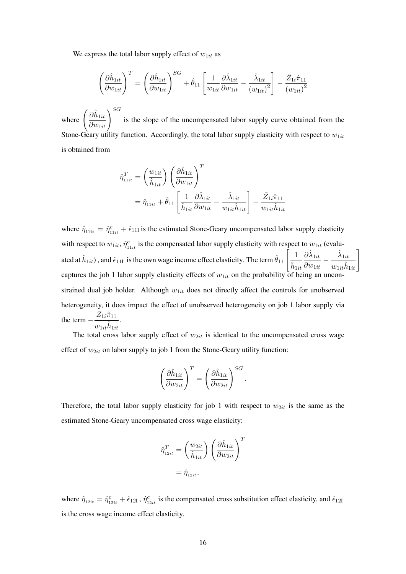We express the total labor supply effect of  $w_{1it}$  as

$$
\left(\frac{\partial \hat{h}_{1it}}{\partial w_{1it}}\right)^T = \left(\frac{\partial \hat{h}_{1it}}{\partial w_{1it}}\right)^{SG} + \hat{\theta}_{11} \left[\frac{1}{w_{1it}} \frac{\partial \hat{\lambda}_{1it}}{\partial w_{1it}} - \frac{\hat{\lambda}_{1it}}{(w_{1it})^2}\right] - \frac{\bar{Z}_{1i} \hat{\pi}_{11}}{(w_{1it})^2}
$$

where  $\left(\frac{\partial \hat{h}_{1it}}{\partial}\right)$  $\frac{\partial \hat{h}_{1it}}{\partial w_{1it}}\Bigg)^{SG}$ is the slope of the uncompensated labor supply curve obtained from the Stone-Geary utility function. Accordingly, the total labor supply elasticity with respect to  $w_{1it}$ is obtained from

$$
\hat{\eta}_{11it}^T = \left(\frac{w_{1it}}{\hat{h}_{1it}}\right) \left(\frac{\partial \hat{h}_{1it}}{\partial w_{1it}}\right)^T
$$

$$
= \hat{\eta}_{11it} + \hat{\theta}_{11} \left[\frac{1}{\hat{h}_{1it}} \frac{\partial \hat{\lambda}_{1it}}{\partial w_{1it}} - \frac{\hat{\lambda}_{1it}}{w_{1it}\hat{h}_{1it}}\right] - \frac{\bar{Z}_{1i}\hat{\pi}_{11}}{w_{1it}\hat{h}_{1it}}
$$

where  $\hat{\eta}_{11it} = \hat{\eta}_{11it}^c + \hat{\epsilon}_{11i}$  is the estimated Stone-Geary uncompensated labor supply elasticity with respect to  $w_{1it}$ ,  $\hat{\eta}_{11it}^c$  is the compensated labor supply elasticity with respect to  $w_{1it}$  (evaluated at  $\hat{h}_{1it}$ ), and  $\hat{\epsilon}_{11I}$  is the own wage income effect elasticity. The term  $\hat{\theta}_{11} \left[ \frac{1}{\hat{i}} \right]$  $\hat{h}_{1it}$  $\partial \hat{\lambda}_{1it}$  $\frac{\partial \hat{\lambda}_{1it}}{\partial w_{1it}} - \frac{\hat{\lambda}_{1it}}{w_{1it} \hat{h}}$  $\left[\frac{\hat{\lambda}_{1it}}{w_{1it}\hat{h}_{1it}}\right]$ captures the job 1 labor supply elasticity effects of  $w_{1it}$  on the probability of being an unconstrained dual job holder. Although  $w_{1it}$  does not directly affect the controls for unobserved heterogeneity, it does impact the effect of unobserved heterogeneity on job 1 labor supply via the term  $-\frac{\bar{Z}_{1i}\hat{\pi}_{11}}{\hat{\tau}}$  $w_{1it} \hat{h}_{1it}$ .

The total cross labor supply effect of  $w_{2it}$  is identical to the uncompensated cross wage effect of  $w_{2it}$  on labor supply to job 1 from the Stone-Geary utility function:

$$
\left(\frac{\partial \hat{h}_{1it}}{\partial w_{2it}}\right)^T = \left(\frac{\partial \hat{h}_{1it}}{\partial w_{2it}}\right)^{SG}.
$$

Therefore, the total labor supply elasticity for job 1 with respect to  $w_{2it}$  is the same as the estimated Stone-Geary uncompensated cross wage elasticity:

$$
\hat{\eta}_{12it}^T = \left(\frac{w_{2it}}{\hat{h}_{1it}}\right) \left(\frac{\partial \hat{h}_{1it}}{\partial w_{2it}}\right)^T
$$

$$
= \hat{\eta}_{12it},
$$

where  $\hat{\eta}_{12it} = \hat{\eta}_{12it}^c + \hat{\epsilon}_{12l}$ ,  $\hat{\eta}_{12it}^c$  is the compensated cross substitution effect elasticity, and  $\hat{\epsilon}_{12l}$ is the cross wage income effect elasticity.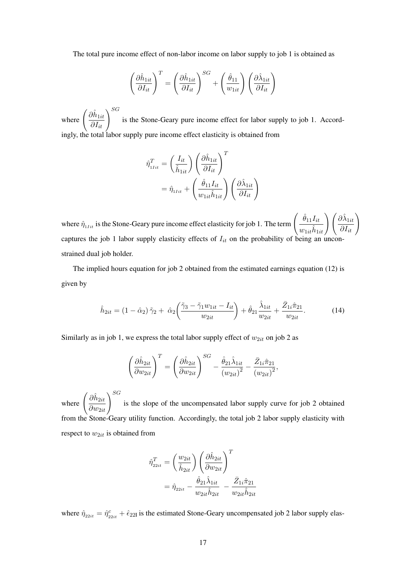The total pure income effect of non-labor income on labor supply to job 1 is obtained as

$$
\left(\frac{\partial \hat{h}_{1it}}{\partial I_{it}}\right)^T = \left(\frac{\partial \hat{h}_{1it}}{\partial I_{it}}\right)^{SG} + \left(\frac{\hat{\theta}_{11}}{w_{1it}}\right) \left(\frac{\partial \hat{\lambda}_{1it}}{\partial I_{it}}\right)
$$

where  $\left(\frac{\partial \hat{h}_{1it}}{\partial x}\right)$  $\frac{\partial \hat{h}_{1it}}{\partial I_{it}}\Bigg)^{SG}$ is the Stone-Geary pure income effect for labor supply to job 1. Accordingly, the total labor supply pure income effect elasticity is obtained from

$$
\hat{\eta}_{1Iit}^T = \left(\frac{I_{it}}{\hat{h}_{1it}}\right) \left(\frac{\partial \hat{h}_{1it}}{\partial I_{it}}\right)^T
$$

$$
= \hat{\eta}_{1Iit} + \left(\frac{\hat{\theta}_{11}I_{it}}{w_{1it}\hat{h}_{1it}}\right) \left(\frac{\partial \hat{\lambda}_{1it}}{\partial I_{it}}\right)
$$

where  $\hat{\eta}_{1Iit}$  is the Stone-Geary pure income effect elasticity for job 1. The term  $\left(\frac{\hat{\theta}_{11}I_{it}}{\hat{i}}\right)$  $\left(\frac{\hat{\theta}_{11}I_{it}}{w_{1it}\hat{h}_{1it}}\right)\left(\frac{\partial\hat{\lambda}_{1it}}{\partial I_{it}}\right)$ captures the job 1 labor supply elasticity effects of  $I_{it}$  on the probability of being an unconstrained dual job holder.

The implied hours equation for job 2 obtained from the estimated earnings equation (12) is given by

$$
\hat{h}_{2it} = (1 - \hat{\alpha}_2) \tilde{\gamma}_2 + \hat{\alpha}_2 \left( \frac{\tilde{\gamma}_3 - \tilde{\gamma}_1 w_{1it} - I_{it}}{w_{2it}} \right) + \hat{\theta}_{21} \frac{\hat{\lambda}_{1it}}{w_{2it}} + \frac{\bar{Z}_{1i} \hat{\pi}_{21}}{w_{2it}}.
$$
(14)

Similarly as in job 1, we express the total labor supply effect of  $w_{2it}$  on job 2 as

$$
\left(\frac{\partial \hat{h}_{2it}}{\partial w_{2it}}\right)^T = \left(\frac{\partial \hat{h}_{2it}}{\partial w_{2it}}\right)^{SG} - \frac{\hat{\theta}_{21}\hat{\lambda}_{1it}}{(w_{2it})^2} - \frac{\bar{Z}_{1i}\hat{\pi}_{21}}{(w_{2it})^2},
$$

where  $\left(\frac{\partial \hat{h}_{2it}}{\partial}\right)$  $\frac{\partial \hat{h}_{2it}}{\partial w_{2it}}\Bigg)^{SG}$ is the slope of the uncompensated labor supply curve for job 2 obtained from the Stone-Geary utility function. Accordingly, the total job 2 labor supply elasticity with respect to  $w_{2it}$  is obtained from

$$
\hat{\eta}_{22it}^T = \left(\frac{w_{2it}}{\hat{h}_{2it}}\right) \left(\frac{\partial \hat{h}_{2it}}{\partial w_{2it}}\right)^T
$$

$$
= \hat{\eta}_{22it} - \frac{\hat{\theta}_{21}\hat{\lambda}_{1it}}{w_{2it}\hat{h}_{2it}} - \frac{\bar{Z}_{1i}\hat{\pi}_{21}}{w_{2it}\hat{h}_{2it}}
$$

where  $\hat{\eta}_{22it} = \hat{\eta}_{22it}^c + \hat{\epsilon}_{22i}$  is the estimated Stone-Geary uncompensated job 2 labor supply elas-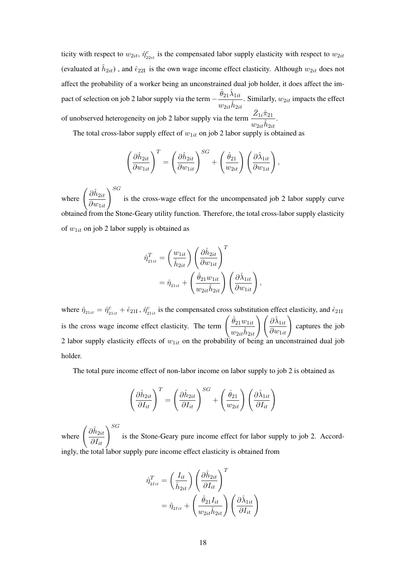ticity with respect to  $w_{2it}$ ,  $\hat{\eta}_{22it}^c$  is the compensated labor supply elasticity with respect to  $w_{2it}$ (evaluated at  $\hat{h}_{2it}$ ), and  $\hat{\epsilon}_{22I}$  is the own wage income effect elasticity. Although  $w_{2it}$  does not affect the probability of a worker being an unconstrained dual job holder, it does affect the impact of selection on job 2 labor supply via the term  $-\frac{\hat{\theta}_{21}\hat{\lambda}_{1it}}{\hat{\lambda}_{1it}}$  $w_{2it} \hat{h}_{2it}$ . Similarly,  $w_{2it}$  impacts the effect of unobserved heterogeneity on job 2 labor supply via the term  $\frac{\bar{Z}_{1i} \hat{\pi}_{21}}{\hat{\pi}_{21}}$  $w_{2it}\hat{h}_{2it}$ .

The total cross-labor supply effect of  $w_{1it}$  on job 2 labor supply is obtained as

$$
\left(\frac{\partial \hat{h}_{2it}}{\partial w_{1it}}\right)^T = \left(\frac{\partial \hat{h}_{2it}}{\partial w_{1it}}\right)^{SG} + \left(\frac{\hat{\theta}_{21}}{w_{2it}}\right) \left(\frac{\partial \hat{\lambda}_{1it}}{\partial w_{1it}}\right),
$$

where  $\left(\frac{\partial \hat{h}_{2it}}{\partial}\right)$  $\frac{\partial \hat{h}_{2it}}{\partial w_{1it}}\Bigg)^{SG}$ is the cross-wage effect for the uncompensated job 2 labor supply curve obtained from the Stone-Geary utility function. Therefore, the total cross-labor supply elasticity of  $w_{1it}$  on job 2 labor supply is obtained as

$$
\hat{\eta}_{21it}^T = \left(\frac{w_{1it}}{\hat{h}_{2it}}\right) \left(\frac{\partial \hat{h}_{2it}}{\partial w_{1it}}\right)^T
$$

$$
= \hat{\eta}_{21it} + \left(\frac{\hat{\theta}_{21}w_{1it}}{w_{2it}\hat{h}_{2it}}\right) \left(\frac{\partial \hat{\lambda}_{1it}}{\partial w_{1it}}\right),
$$

where  $\hat{\eta}_{21it} = \hat{\eta}_{21it}^c + \hat{\epsilon}_{21i}$ ,  $\hat{\eta}_{21it}^c$  is the compensated cross substitution effect elasticity, and  $\hat{\epsilon}_{21i}$ is the cross wage income effect elasticity. The term  $\left(\frac{\hat{\theta}_{21}w_{1it}}{w_{1it}}\right)$  $\left(\frac{\hat{\theta}_{21}w_{1it}}{w_{2it}\hat{h}_{2it}}\right)\left(\frac{\partial\hat{\lambda}_{1it}}{\partial w_{1it}}\right)$ captures the job 2 labor supply elasticity effects of  $w_{1it}$  on the probability of being an unconstrained dual job holder.

The total pure income effect of non-labor income on labor supply to job 2 is obtained as

$$
\left(\frac{\partial \hat{h}_{2it}}{\partial I_{it}}\right)^T = \left(\frac{\partial \hat{h}_{2it}}{\partial I_{it}}\right)^{SG} + \left(\frac{\hat{\theta}_{21}}{w_{2it}}\right) \left(\frac{\partial \hat{\lambda}_{1it}}{\partial I_{it}}\right)
$$

where  $\left(\frac{\partial \hat{h}_{2it}}{\partial \bm{I}}\right)$  $\frac{\partial \hat{h}_{2it}}{\partial I_{it}}\Biggr)^{SG}$ is the Stone-Geary pure income effect for labor supply to job 2. Accordingly, the total labor supply pure income effect elasticity is obtained from

$$
\hat{\eta}_{2Iit}^{T} = \left(\frac{I_{it}}{\hat{h}_{2it}}\right) \left(\frac{\partial \hat{h}_{2it}}{\partial I_{it}}\right)^{T}
$$

$$
= \hat{\eta}_{2Iit} + \left(\frac{\hat{\theta}_{21}I_{it}}{w_{2it}\hat{h}_{2it}}\right) \left(\frac{\partial \hat{\lambda}_{1it}}{\partial I_{it}}\right)
$$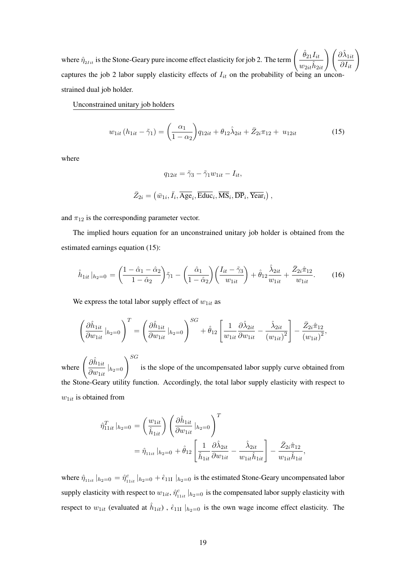where  $\hat{\eta}_{2Iit}$  is the Stone-Geary pure income effect elasticity for job 2. The term  $\left(\frac{\hat{\theta}_{21}I_{it}}{\hat{i}}\right)$  $\left(\frac{\hat{\theta}_{21}I_{it}}{w_{2it}\hat{h}_{2it}}\right)\left(\frac{\partial\hat{\lambda}_{1it}}{\partial I_{it}}\right)$ captures the job 2 labor supply elasticity effects of  $I_{it}$  on the probability of being an unconstrained dual job holder.

Unconstrained unitary job holders

$$
w_{1it} (h_{1it} - \tilde{\gamma}_1) = \left(\frac{\alpha_1}{1 - \alpha_2}\right) q_{12it} + \theta_{12} \hat{\lambda}_{2it} + \bar{Z}_{2i} \pi_{12} + u_{12it}
$$
 (15)

where

$$
q_{12it} = \tilde{\gamma}_3 - \tilde{\gamma}_1 w_{1it} - I_{it},
$$
  

$$
\bar{Z}_{2i} = (\bar{w}_{1i}, \bar{I}_i, \overline{\text{Age}}_i, \overline{\text{Educ}}_i, \overline{\text{MS}}_i, \overline{\text{DP}}_i, \overline{\text{Year}}_i),
$$

and  $\pi_{12}$  is the corresponding parameter vector.

The implied hours equation for an unconstrained unitary job holder is obtained from the estimated earnings equation (15):

$$
\hat{h}_{1it}|_{h_2=0} = \left(\frac{1-\hat{\alpha}_1-\hat{\alpha}_2}{1-\hat{\alpha}_2}\right)\tilde{\gamma}_1 - \left(\frac{\hat{\alpha}_1}{1-\hat{\alpha}_2}\right)\left(\frac{I_{it}-\tilde{\gamma}_3}{w_{1it}}\right) + \hat{\theta}_{12}\frac{\hat{\lambda}_{2it}}{w_{1it}} + \frac{\bar{Z}_{2i}\hat{\pi}_{12}}{w_{1it}}.\tag{16}
$$

We express the total labor supply effect of  $w_{1it}$  as

$$
\left(\frac{\partial \hat{h}_{1it}}{\partial w_{1it}}\left|_{h_2=0}\right)^T = \left(\frac{\partial \hat{h}_{1it}}{\partial w_{1it}}\left|_{h_2=0}\right)\right)^{SG} + \hat{\theta}_{12}\left[\frac{1}{w_{1it}}\frac{\partial \hat{\lambda}_{2it}}{\partial w_{1it}} - \frac{\hat{\lambda}_{2it}}{(w_{1it})^2}\right] - \frac{\bar{Z}_{2i}\hat{\pi}_{12}}{(w_{1it})^2},\right]
$$

where  $\left(\frac{\partial \hat{h}_{1it}}{\partial}\right)$  $\frac{\partial \hat{h}_{1it}}{\partial w_{1it}}|_{h_2=0}$  is the slope of the uncompensated labor supply curve obtained from the Stone-Geary utility function. Accordingly, the total labor supply elasticity with respect to  $w_{1it}$  is obtained from

$$
\hat{\eta}_{11it}^T |_{h_2=0} = \left(\frac{w_{1it}}{\hat{h}_{1it}}\right) \left(\frac{\partial \hat{h}_{1it}}{\partial w_{1it}} |_{h_2=0}\right)^T \n= \hat{\eta}_{11it} |_{h_2=0} + \hat{\theta}_{12} \left[\frac{1}{\hat{h}_{1it}} \frac{\partial \hat{\lambda}_{2it}}{\partial w_{1it}} - \frac{\hat{\lambda}_{2it}}{w_{1it} \hat{h}_{1it}}\right] - \frac{\bar{Z}_{2i} \hat{\pi}_{12}}{w_{1it} \hat{h}_{1it}},
$$

where  $\hat{\eta}_{11it}|_{h_2=0} = \hat{\eta}_{11it}^c|_{h_2=0} + \hat{\epsilon}_{11i}|_{h_2=0}$  is the estimated Stone-Geary uncompensated labor supply elasticity with respect to  $w_{1it}$ ,  $\hat{\eta}_{1it}^c$  | $h_{2}=0$  is the compensated labor supply elasticity with respect to  $w_{1it}$  (evaluated at  $\hat{h}_{1it}$ ),  $\hat{\epsilon}_{111}$   $|_{h_2=0}$  is the own wage income effect elasticity. The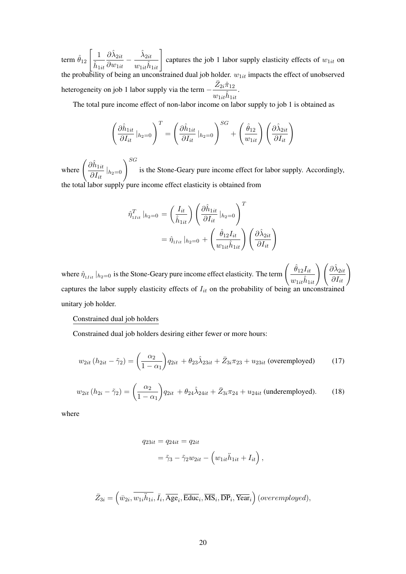term  $\hat{\theta}_{12}$   $\Big[\frac{1}{\hat{i}}\Big]$  $\hat{h}_{1it}$  $\partial \hat{\lambda}_{2it}$  $\frac{\partial \hat{\lambda}_{2it}}{\partial w_{1it}} - \frac{\hat{\lambda}_{2it}}{w_{1it} \hat{h}}$  $\left[\frac{\hat{\lambda}_{2it}}{w_{1it} \hat{h}_{1it}}\right]$ captures the job 1 labor supply elasticity effects of  $w_{1it}$  on the probability of being an unconstrained dual job holder.  $w_{1it}$  impacts the effect of unobserved heterogeneity on job 1 labor supply via the term  $-\frac{\bar{Z}_{2i}\hat{\pi}_{12}}{\hat{\pi}_{2i}}$  $w_{1it} \hat{h}_{1it}$ .

The total pure income effect of non-labor income on labor supply to job 1 is obtained as

$$
\left(\frac{\partial \hat{h}_{1it}}{\partial I_{it}}\big|_{h_2=0}\right)^T = \left(\frac{\partial \hat{h}_{1it}}{\partial I_{it}}\big|_{h_2=0}\right)^{SG} + \left(\frac{\hat{\theta}_{12}}{w_{1it}}\right)\left(\frac{\partial \hat{\lambda}_{2it}}{\partial I_{it}}\right)
$$

where  $\left(\frac{\partial \hat{h}_{1it}}{\partial x}\right)$  $\frac{\partial \hat{h}_{1it}}{\partial I_{it}}|_{h_2=0}$  is the Stone-Geary pure income effect for labor supply. Accordingly, the total labor supply pure income effect elasticity is obtained from

$$
\hat{\eta}_{1Iit}^T |_{h_2=0} = \left(\frac{I_{it}}{\hat{h}_{1it}}\right) \left(\frac{\partial \hat{h}_{1it}}{\partial I_{it}} |_{h_2=0}\right)^T
$$

$$
= \hat{\eta}_{1Iit} |_{h_2=0} + \left(\frac{\hat{\theta}_{12} I_{it}}{w_{1it} \hat{h}_{1it}}\right) \left(\frac{\partial \hat{\lambda}_{2it}}{\partial I_{it}}\right)
$$

where  $\hat{\eta}_{1Iit} |_{h_2=0}$  is the Stone-Geary pure income effect elasticity. The term  $\left( \frac{\hat{\theta}_{12} I_{it}}{\hat{i}} \right)$  $\left(\frac{\hat{\theta}_{12}I_{it}}{w_{1it}\hat{h}_{1it}}\right)\left(\frac{\partial\hat{\lambda}_{2it}}{\partial I_{it}}\right)$ captures the labor supply elasticity effects of  $I_{it}$  on the probability of being an unconstrained unitary job holder.

Constrained dual job holders

Constrained dual job holders desiring either fewer or more hours:

$$
w_{2it} (h_{2it} - \tilde{\gamma}_2) = \left(\frac{\alpha_2}{1 - \alpha_1}\right) q_{2it} + \theta_{23} \hat{\lambda}_{23it} + \bar{Z}_{3i} \pi_{23} + u_{23it} \text{ (overemployed)} \tag{17}
$$

$$
w_{2it} (h_{2i} - \tilde{\gamma}_2) = \left(\frac{\alpha_2}{1 - \alpha_1}\right) q_{2it} + \theta_{24} \hat{\lambda}_{24it} + \bar{Z}_{3i} \pi_{24} + u_{24it} \text{ (underemployed).}
$$
 (18)

where

$$
q_{23it} = q_{24it} = q_{2it}
$$
  
= 
$$
\tilde{\gamma}_3 - \tilde{\gamma}_2 w_{2it} - \left(w_{1it}\ddot{h}_{1it} + I_{it}\right),
$$

$$
\bar{Z}_{3i} = \left(\bar{w}_{2i}, \overline{w_{1i}\ddot{h}_{1i}}, \overline{I}_i, \overline{\text{Age}}_i, \overline{\text{Educ}}_i, \overline{\text{MS}}_i, \overline{\text{DP}}_i, \overline{\text{Year}}_i\right) (over employed),
$$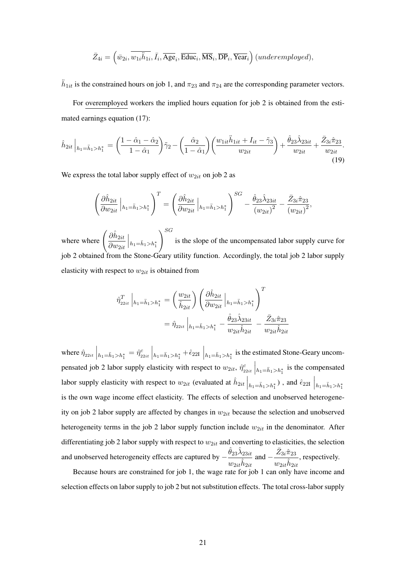$$
\bar{Z}_{4i} = \left(\bar{w}_{2i}, \overline{w_{1i}\ddot{h}_{1i}}, \overline{I}_i, \overline{\text{Age}}_i, \overline{\text{Educ}}_i, \overline{\text{MS}}_i, \overline{\text{DP}}_i, \overline{\text{Year}}_i\right) (under employed),
$$

 $\ddot{h}_{1it}$  is the constrained hours on job 1, and  $\pi_{23}$  and  $\pi_{24}$  are the corresponding parameter vectors.

For overemployed workers the implied hours equation for job 2 is obtained from the estimated earnings equation (17):

$$
\hat{h}_{2it}\Big|_{h_1=\ddot{h}_1>h_1^*} = \left(\frac{1-\hat{\alpha}_1-\hat{\alpha}_2}{1-\hat{\alpha}_1}\right)\tilde{\gamma}_2 - \left(\frac{\hat{\alpha}_2}{1-\hat{\alpha}_1}\right)\left(\frac{w_{1it}\ddot{h}_{1it} + I_{it} - \tilde{\gamma}_3}{w_{2it}}\right) + \frac{\hat{\theta}_{23}\hat{\lambda}_{23it}}{w_{2it}} + \frac{\bar{Z}_{3i}\hat{\pi}_{23}}{w_{2it}}.\tag{19}
$$

We express the total labor supply effect of  $w_{2it}$  on job 2 as

$$
\left(\frac{\partial \hat{h}_{2it}}{\partial w_{2it}}\Big|_{h_1=\ddot{h}_1>h_1^*}\right)^T = \left(\frac{\partial \hat{h}_{2it}}{\partial w_{2it}}\Big|_{h_1=\ddot{h}_1>h_1^*}\right)^{SG} - \frac{\hat{\theta}_{23}\hat{\lambda}_{23it}}{(w_{2it})^2} - \frac{\bar{Z}_{3i}\hat{\pi}_{23}}{(w_{2it})^2},
$$

where where  $\left(\frac{\partial \hat{h}_{2it}}{\partial}\right)$  $\partial w_{2it}$  $\Big|_{h_1 = \ddot{h}_1 > h_1^*}$  $\setminus^{SG}$ is the slope of the uncompensated labor supply curve for job 2 obtained from the Stone-Geary utility function. Accordingly, the total job 2 labor supply elasticity with respect to  $w_{2it}$  is obtained from

$$
\hat{\eta}_{22it}^T \mid_{h_1 = \ddot{h}_1 > h_1^*} = \left(\frac{w_{2it}}{\hat{h}_{2it}}\right) \left(\frac{\partial \hat{h}_{2it}}{\partial w_{2it}} \mid_{h_1 = \ddot{h}_1 > h_1^*}\right)^T
$$

$$
= \hat{\eta}_{22it} \mid_{h_1 = \ddot{h}_1 > h_1^*} - \frac{\hat{\theta}_{23} \hat{\lambda}_{23it}}{w_{2it} \hat{h}_{2it}} - \frac{\bar{Z}_{3i} \hat{\pi}_{23}}{w_{2it} \hat{h}_{2it}}
$$

where  $\hat{\eta}_{22it} \mid_{h_1 = \ddot{h}_1 > h_1^*} = \hat{\eta}_{22it}^c \mid_{h_1 = \ddot{h}_1 > h_1^*} + \hat{\epsilon}_{22I} \mid_{h_1 = \ddot{h}_1 > h_1^*}$  is the estimated Stone-Geary uncompensated job 2 labor supply elasticity with respect to  $w_{2it}$ ,  $\hat{\eta}_{22it}^c \mid_{h_1 = \hat{h}_1 > h_1^*}$  is the compensated labor supply elasticity with respect to  $w_{2it}$  (evaluated at  $\hat{h}_{2it}\Big|_{h_1=\tilde{h}_1>h_1^*}$ ), and  $\hat{\epsilon}_{22I}\Big|_{h_1=\tilde{h}_1>h_1^*}$ is the own wage income effect elasticity. The effects of selection and unobserved heterogeneity on job 2 labor supply are affected by changes in  $w_{2it}$  because the selection and unobserved heterogeneity terms in the job 2 labor supply function include  $w_{2it}$  in the denominator. After differentiating job 2 labor supply with respect to  $w_{2it}$  and converting to elasticities, the selection and unobserved heterogeneity effects are captured by  $-\frac{\hat{\theta}_{23}\hat{\lambda}_{23it}}{\hat{\lambda}_{23it}}$  $w_{2it} \hat{h}_{2it}$ and  $-\frac{\bar{Z}_{3i}\hat{\pi}_{23}}{\hat{\pi}}$  $w_{2it} \hat{h}_{2it}$ , respectively.

Because hours are constrained for job 1, the wage rate for job 1 can only have income and selection effects on labor supply to job 2 but not substitution effects. The total cross-labor supply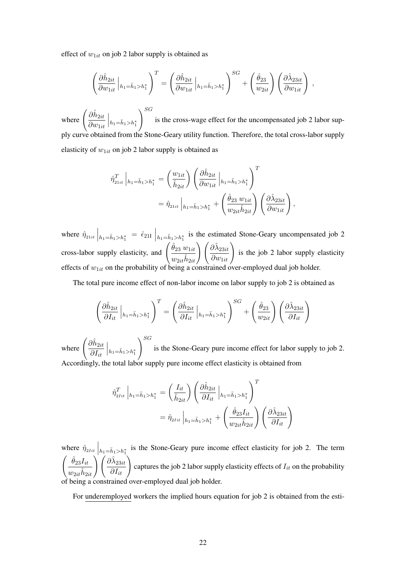effect of  $w_{1it}$  on job 2 labor supply is obtained as

$$
\left(\frac{\partial \hat{h}_{2it}}{\partial w_{1it}}\Big|_{h_1=\ddot{h}_1>h_1^*}\right)^T = \left(\frac{\partial \hat{h}_{2it}}{\partial w_{1it}}\Big|_{h_1=\ddot{h}_1>h_1^*}\right)^{SG} + \left(\frac{\hat{\theta}_{23}}{w_{2it}}\right)\left(\frac{\partial \hat{\lambda}_{23it}}{\partial w_{1it}}\right),
$$

where  $\left(\frac{\partial \hat{h}_{2it}}{\partial}\right)$  $\partial w_{1it}$  $\Big|_{h_1 = \ddot{h}_1 > h_1^*}$  $\setminus^{SG}$ is the cross-wage effect for the uncompensated job 2 labor supply curve obtained from the Stone-Geary utility function. Therefore, the total cross-labor supply elasticity of  $w_{1it}$  on job 2 labor supply is obtained as

$$
\hat{\eta}_{21it}^T \bigg|_{h_1 = \ddot{h}_1 > h_1^*} = \left(\frac{w_{1it}}{\hat{h}_{2it}}\right) \left(\frac{\partial \hat{h}_{2it}}{\partial w_{1it}} \bigg|_{h_1 = \ddot{h}_1 > h_1^*}\right)^T
$$

$$
= \hat{\eta}_{21it} \bigg|_{h_1 = \ddot{h}_1 > h_1^*} + \left(\frac{\hat{\theta}_{23} w_{1it}}{w_{2it} \hat{h}_{2it}}\right) \left(\frac{\partial \hat{\lambda}_{23it}}{\partial w_{1it}}\right),
$$

where  $\hat{\eta}_{21it} \mid_{h_1 = \ddot{h}_1 > h_1^*} = \hat{\epsilon}_{21I} \mid_{h_1 = \ddot{h}_1 > h_1^*}$  is the estimated Stone-Geary uncompensated job 2 cross-labor supply elasticity, and  $\left(\frac{\hat{\theta}_{23} w_{1it}}{2}\right)$  $\left(\frac{\hat{\theta}_{23}\ w_{1it}}{w_{2it} \hat{h}_{2it}}\right)\left(\frac{\partial \hat{\lambda}_{23it}}{\partial w_{1it}}\right)$ is the job 2 labor supply elasticity effects of  $w_{1it}$  on the probability of being a constrained over-employed dual job holder.

The total pure income effect of non-labor income on labor supply to job 2 is obtained as

$$
\left(\frac{\partial \hat{h}_{2it}}{\partial I_{it}}\Big|_{h_1=\ddot{h}_1>h_1^*}\right)^T = \left(\frac{\partial \hat{h}_{2it}}{\partial I_{it}}\Big|_{h_1=\ddot{h}_1>h_1^*}\right)^{SG} + \left(\frac{\hat{\theta}_{23}}{w_{2it}}\right)\left(\frac{\partial \hat{\lambda}_{23it}}{\partial I_{it}}\right)
$$

where  $\left(\frac{\partial \hat{h}_{2it}}{\partial \bm{I}}\right)$  $\partial I_{it}$  $\Big|_{h_1 = \ddot{h}_1 > h_1^*}$  $\setminus^{SG}$ is the Stone-Geary pure income effect for labor supply to job 2. Accordingly, the total labor supply pure income effect elasticity is obtained from

$$
\hat{\eta}_{2Iit}^T \mid_{h_1 = \ddot{h}_1 > h_1^*} = \left(\frac{I_{it}}{\hat{h}_{2it}}\right) \left(\frac{\partial \hat{h}_{2it}}{\partial I_{it}} \mid_{h_1 = \ddot{h}_1 > h_1^*}\right)^T
$$
\n
$$
= \hat{\eta}_{2Iit} \mid_{h_1 = \ddot{h}_1 > h_1^*} + \left(\frac{\hat{\theta}_{23} I_{it}}{w_{2it} \hat{h}_{2it}}\right) \left(\frac{\partial \hat{\lambda}_{23it}}{\partial I_{it}}\right)
$$

where  $\hat{\eta}_{2Iit} \bigg|_{h_1 = \ddot{h}_1 > h_1^*}$  is the Stone-Geary pure income effect elasticity for job 2. The term  $\int \hat{\theta}_{23} I_{it}$  $\left(\frac{\hat{\theta}_{23}I_{it}}{w_{2it}\hat{h}_{2it}}\right)\left(\frac{\partial\hat{\lambda}_{23it}}{\partial I_{it}}\right)$  captures the job 2 labor supply elasticity effects of  $I_{it}$  on the probability of being a constrained over-employed dual job holder.

For underemployed workers the implied hours equation for job 2 is obtained from the esti-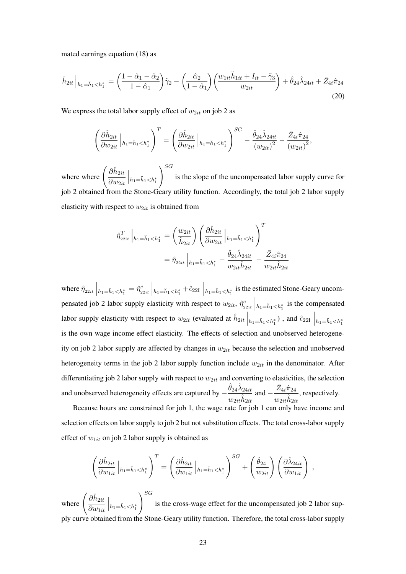mated earnings equation (18) as

$$
\hat{h}_{2it} \Big|_{h_1 = \hat{h}_1 < h_1^*} = \left(\frac{1 - \hat{\alpha}_1 - \hat{\alpha}_2}{1 - \hat{\alpha}_1}\right) \tilde{\gamma}_2 - \left(\frac{\hat{\alpha}_2}{1 - \hat{\alpha}_1}\right) \left(\frac{w_{1it}\ddot{h}_{1it} + I_{it} - \tilde{\gamma}_3}{w_{2it}}\right) + \hat{\theta}_{24} \hat{\lambda}_{24it} + \bar{Z}_{4i} \hat{\pi}_{24} \tag{20}
$$

We express the total labor supply effect of  $w_{2it}$  on job 2 as

$$
\left(\frac{\partial \hat{h}_{2it}}{\partial w_{2it}}\Big|_{h_1=\ddot{h}_1
$$

where where  $\left(\frac{\partial \hat{h}_{2it}}{\partial}\right)$  $\partial w_{2it}$  $\Big|_{h_1 = \ddot{h}_1 < h_1^*}$  $\setminus^{SG}$ is the slope of the uncompensated labor supply curve for job 2 obtained from the Stone-Geary utility function. Accordingly, the total job 2 labor supply elasticity with respect to  $w_{2it}$  is obtained from

$$
\hat{\eta}_{22it}^T \mid_{h_1 = \ddot{h}_1 < h_1^*} = \left(\frac{w_{2it}}{\hat{h}_{2it}}\right) \left(\frac{\partial \hat{h}_{2it}}{\partial w_{2it}} \mid_{h_1 = \ddot{h}_1 < h_1^*}\right)^T
$$
\n
$$
= \hat{\eta}_{22it} \mid_{h_1 = \ddot{h}_1 < h_1^*} - \frac{\hat{\theta}_{24} \hat{\lambda}_{24it}}{w_{2it} \hat{h}_{2it}} - \frac{\bar{Z}_{4i} \hat{\pi}_{24}}{w_{2it} \hat{h}_{2it}}
$$

where  $\hat{\eta}_{22it} \mid_{h_1 = \ddot{h}_1 < h_1^*} = \hat{\eta}_{22it}^c \mid_{h_1 = \ddot{h}_1 < h_1^*} + \hat{\epsilon}_{22I} \mid_{h_1 = \ddot{h}_1 < h_1^*}$  is the estimated Stone-Geary uncompensated job 2 labor supply elasticity with respect to  $w_{2it}$ ,  $\hat{\eta}_{22it}^c \mid_{h_1 = \tilde{h}_1 < h_1^*}$  is the compensated labor supply elasticity with respect to  $w_{2it}$  (evaluated at  $\hat{h}_{2it}\Big|_{h_1=\tilde{h}_1), and  $\hat{\epsilon}_{22I}\Big|_{h_1=\tilde{h}_1$$ is the own wage income effect elasticity. The effects of selection and unobserved heterogeneity on job 2 labor supply are affected by changes in  $w_{2it}$  because the selection and unobserved heterogeneity terms in the job 2 labor supply function include  $w_{2it}$  in the denominator. After differentiating job 2 labor supply with respect to  $w_{2it}$  and converting to elasticities, the selection and unobserved heterogeneity effects are captured by  $-\frac{\hat{\theta}_{24}\hat{\lambda}_{24it}}{\hat{\lambda}_{24it}}$  $w_{2it} \hat{h}_{2it}$ and  $-\frac{\bar{Z}_{4i}\hat{\pi}_{24}}{\hat{\pi}}$  $w_{2it} \hat{h}_{2it}$ , respectively.

Because hours are constrained for job 1, the wage rate for job 1 can only have income and selection effects on labor supply to job 2 but not substitution effects. The total cross-labor supply effect of  $w_{1it}$  on job 2 labor supply is obtained as

$$
\left(\frac{\partial \hat{h}_{2it}}{\partial w_{1it}}\left|_{h_1=\ddot{h}_1
$$

where  $\left(\frac{\partial \hat{h}_{2it}}{\partial}\right)$  $\partial w_{1it}$  $\Big|_{h_1 = \ddot{h}_1 < h_1^*}$  $\setminus^{SG}$ is the cross-wage effect for the uncompensated job 2 labor supply curve obtained from the Stone-Geary utility function. Therefore, the total cross-labor supply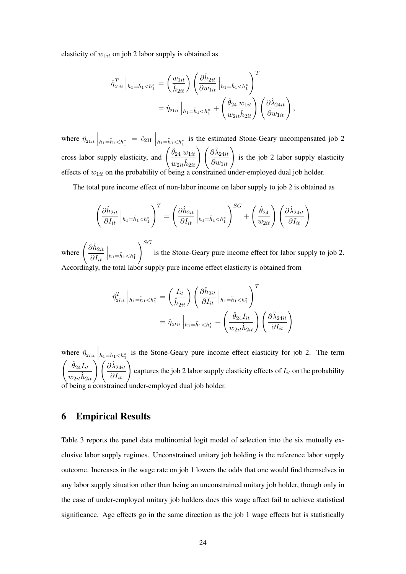elasticity of  $w_{1it}$  on job 2 labor supply is obtained as

$$
\hat{\eta}_{21it}^T \Big|_{h_1 = \ddot{h}_1 < h_1^*} = \left(\frac{w_{1it}}{\hat{h}_{2it}}\right) \left(\frac{\partial \hat{h}_{2it}}{\partial w_{1it}} \Big|_{h_1 = \ddot{h}_1 < h_1^*}\right)^T
$$
\n
$$
= \hat{\eta}_{21it} \Big|_{h_1 = \ddot{h}_1 < h_1^*} + \left(\frac{\hat{\theta}_{24} w_{1it}}{w_{2it} \hat{h}_{2it}}\right) \left(\frac{\partial \hat{\lambda}_{24it}}{\partial w_{1it}}\right),
$$

where  $\hat{\eta}_{21it} \mid_{h_1 = \ddot{h}_1 < h_1^*} = \hat{\epsilon}_{21I} \mid_{h_1 = \ddot{h}_1 < h_1^*}$  is the estimated Stone-Geary uncompensated job 2 cross-labor supply elasticity, and  $\left(\frac{\hat{\theta}_{24} w_{1it}}{\hat{\theta}_{24}}\right)$  $\left(\frac{\hat{\theta}_{24}\ w_{1it}}{w_{2it} \hat{h}_{2it}}\right)\left(\frac{\partial \hat{\lambda}_{24it}}{\partial w_{1it}}\right)$ is the job 2 labor supply elasticity effects of  $w_{1it}$  on the probability of being a constrained under-employed dual job holder.

The total pure income effect of non-labor income on labor supply to job 2 is obtained as

$$
\left(\frac{\partial \hat{h}_{2it}}{\partial I_{it}}\Big|_{h_1=\ddot{h}_1
$$

where  $\left(\frac{\partial \hat{h}_{2it}}{\partial x}\right)$  $\partial I_{it}$  $\Big|_{h_1 = \ddot{h}_1 < h_1^*}$  $\setminus^{SG}$ is the Stone-Geary pure income effect for labor supply to job 2. Accordingly, the total labor supply pure income effect elasticity is obtained from

$$
\hat{\eta}_{2Iit}^T \mid_{h_1 = \ddot{h}_1 < h_1^*} = \left(\frac{I_{it}}{\hat{h}_{2it}}\right) \left(\frac{\partial \hat{h}_{2it}}{\partial I_{it}} \mid_{h_1 = \ddot{h}_1 < h_1^*}\right)^T
$$
\n
$$
= \hat{\eta}_{2Iit} \mid_{h_1 = \ddot{h}_1 < h_1^*} + \left(\frac{\hat{\theta}_{24} I_{it}}{w_{2it} \hat{h}_{2it}}\right) \left(\frac{\partial \hat{\lambda}_{24it}}{\partial I_{it}}\right)
$$

where  $\hat{\eta}_{2Iit} \bigg|_{h_1 = \ddot{h}_1 < h_1^*}$  is the Stone-Geary pure income effect elasticity for job 2. The term  $\int \hat{\theta}_{24} I_{it}$  $\left(\frac{\hat{\theta}_{24}I_{it}}{w_{2it}\hat{h}_{2it}}\right)\left(\frac{\partial\hat{\lambda}_{24it}}{\partial I_{it}}\right)$  captures the job 2 labor supply elasticity effects of  $I_{it}$  on the probability of being a constrained under-employed dual job holder.

## 6 Empirical Results

Table 3 reports the panel data multinomial logit model of selection into the six mutually exclusive labor supply regimes. Unconstrained unitary job holding is the reference labor supply outcome. Increases in the wage rate on job 1 lowers the odds that one would find themselves in any labor supply situation other than being an unconstrained unitary job holder, though only in the case of under-employed unitary job holders does this wage affect fail to achieve statistical significance. Age effects go in the same direction as the job 1 wage effects but is statistically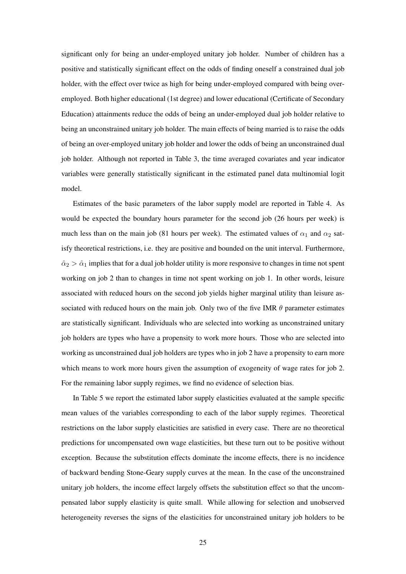significant only for being an under-employed unitary job holder. Number of children has a positive and statistically significant effect on the odds of finding oneself a constrained dual job holder, with the effect over twice as high for being under-employed compared with being overemployed. Both higher educational (1st degree) and lower educational (Certificate of Secondary Education) attainments reduce the odds of being an under-employed dual job holder relative to being an unconstrained unitary job holder. The main effects of being married is to raise the odds of being an over-employed unitary job holder and lower the odds of being an unconstrained dual job holder. Although not reported in Table 3, the time averaged covariates and year indicator variables were generally statistically significant in the estimated panel data multinomial logit model.

Estimates of the basic parameters of the labor supply model are reported in Table 4. As would be expected the boundary hours parameter for the second job (26 hours per week) is much less than on the main job (81 hours per week). The estimated values of  $\alpha_1$  and  $\alpha_2$  satisfy theoretical restrictions, i.e. they are positive and bounded on the unit interval. Furthermore,  $\hat{\alpha}_2 > \hat{\alpha}_1$  implies that for a dual job holder utility is more responsive to changes in time not spent working on job 2 than to changes in time not spent working on job 1. In other words, leisure associated with reduced hours on the second job yields higher marginal utility than leisure associated with reduced hours on the main job. Only two of the five IMR  $\theta$  parameter estimates are statistically significant. Individuals who are selected into working as unconstrained unitary job holders are types who have a propensity to work more hours. Those who are selected into working as unconstrained dual job holders are types who in job 2 have a propensity to earn more which means to work more hours given the assumption of exogeneity of wage rates for job 2. For the remaining labor supply regimes, we find no evidence of selection bias.

In Table 5 we report the estimated labor supply elasticities evaluated at the sample specific mean values of the variables corresponding to each of the labor supply regimes. Theoretical restrictions on the labor supply elasticities are satisfied in every case. There are no theoretical predictions for uncompensated own wage elasticities, but these turn out to be positive without exception. Because the substitution effects dominate the income effects, there is no incidence of backward bending Stone-Geary supply curves at the mean. In the case of the unconstrained unitary job holders, the income effect largely offsets the substitution effect so that the uncompensated labor supply elasticity is quite small. While allowing for selection and unobserved heterogeneity reverses the signs of the elasticities for unconstrained unitary job holders to be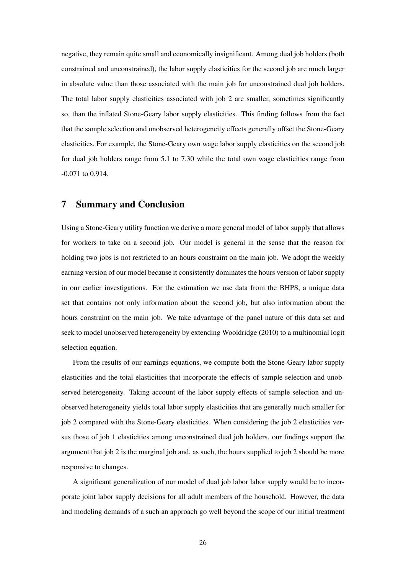negative, they remain quite small and economically insignificant. Among dual job holders (both constrained and unconstrained), the labor supply elasticities for the second job are much larger in absolute value than those associated with the main job for unconstrained dual job holders. The total labor supply elasticities associated with job 2 are smaller, sometimes significantly so, than the inflated Stone-Geary labor supply elasticities. This finding follows from the fact that the sample selection and unobserved heterogeneity effects generally offset the Stone-Geary elasticities. For example, the Stone-Geary own wage labor supply elasticities on the second job for dual job holders range from 5.1 to 7.30 while the total own wage elasticities range from -0.071 to 0.914.

## 7 Summary and Conclusion

Using a Stone-Geary utility function we derive a more general model of labor supply that allows for workers to take on a second job. Our model is general in the sense that the reason for holding two jobs is not restricted to an hours constraint on the main job. We adopt the weekly earning version of our model because it consistently dominates the hours version of labor supply in our earlier investigations. For the estimation we use data from the BHPS, a unique data set that contains not only information about the second job, but also information about the hours constraint on the main job. We take advantage of the panel nature of this data set and seek to model unobserved heterogeneity by extending Wooldridge (2010) to a multinomial logit selection equation.

From the results of our earnings equations, we compute both the Stone-Geary labor supply elasticities and the total elasticities that incorporate the effects of sample selection and unobserved heterogeneity. Taking account of the labor supply effects of sample selection and unobserved heterogeneity yields total labor supply elasticities that are generally much smaller for job 2 compared with the Stone-Geary elasticities. When considering the job 2 elasticities versus those of job 1 elasticities among unconstrained dual job holders, our findings support the argument that job 2 is the marginal job and, as such, the hours supplied to job 2 should be more responsive to changes.

A significant generalization of our model of dual job labor labor supply would be to incorporate joint labor supply decisions for all adult members of the household. However, the data and modeling demands of a such an approach go well beyond the scope of our initial treatment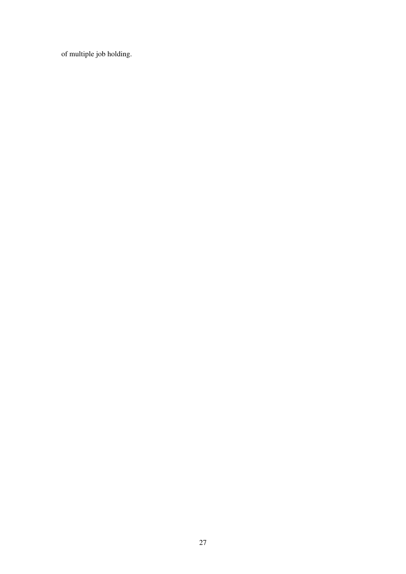of multiple job holding.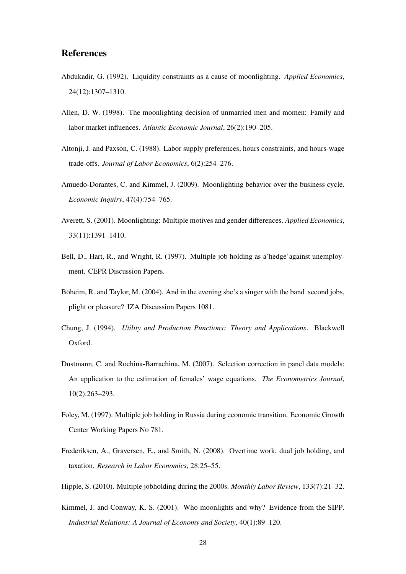## References

- Abdukadir, G. (1992). Liquidity constraints as a cause of moonlighting. *Applied Economics*, 24(12):1307–1310.
- Allen, D. W. (1998). The moonlighting decision of unmarried men and momen: Family and labor market influences. *Atlantic Economic Journal*, 26(2):190–205.
- Altonji, J. and Paxson, C. (1988). Labor supply preferences, hours constraints, and hours-wage trade-offs. *Journal of Labor Economics*, 6(2):254–276.
- Amuedo-Dorantes, C. and Kimmel, J. (2009). Moonlighting behavior over the business cycle. *Economic Inquiry*, 47(4):754–765.
- Averett, S. (2001). Moonlighting: Multiple motives and gender differences. *Applied Economics*, 33(11):1391–1410.
- Bell, D., Hart, R., and Wright, R. (1997). Multiple job holding as a'hedge'against unemployment. CEPR Discussion Papers.
- Böheim, R. and Taylor, M. (2004). And in the evening she's a singer with the band second jobs, plight or pleasure? IZA Discussion Papers 1081.
- Chung, J. (1994). *Utility and Production Punctions: Theory and Applications*. Blackwell Oxford.
- Dustmann, C. and Rochina-Barrachina, M. (2007). Selection correction in panel data models: An application to the estimation of females' wage equations. *The Econometrics Journal*, 10(2):263–293.
- Foley, M. (1997). Multiple job holding in Russia during economic transition. Economic Growth Center Working Papers No 781.
- Frederiksen, A., Graversen, E., and Smith, N. (2008). Overtime work, dual job holding, and taxation. *Research in Labor Economics*, 28:25–55.
- Hipple, S. (2010). Multiple jobholding during the 2000s. *Monthly Labor Review*, 133(7):21–32.
- Kimmel, J. and Conway, K. S. (2001). Who moonlights and why? Evidence from the SIPP. *Industrial Relations: A Journal of Economy and Society*, 40(1):89–120.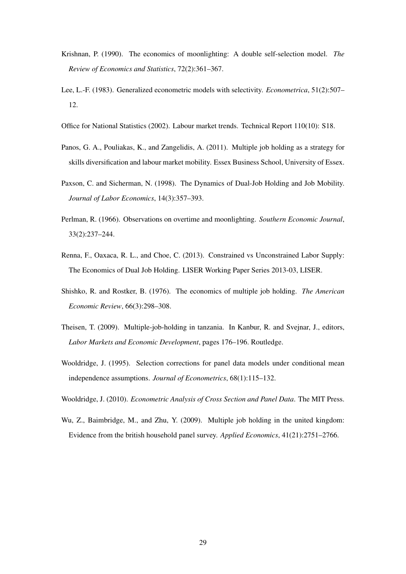- Krishnan, P. (1990). The economics of moonlighting: A double self-selection model. *The Review of Economics and Statistics*, 72(2):361–367.
- Lee, L.-F. (1983). Generalized econometric models with selectivity. *Econometrica*, 51(2):507– 12.
- Office for National Statistics (2002). Labour market trends. Technical Report 110(10): S18.
- Panos, G. A., Pouliakas, K., and Zangelidis, A. (2011). Multiple job holding as a strategy for skills diversification and labour market mobility. Essex Business School, University of Essex.
- Paxson, C. and Sicherman, N. (1998). The Dynamics of Dual-Job Holding and Job Mobility. *Journal of Labor Economics*, 14(3):357–393.
- Perlman, R. (1966). Observations on overtime and moonlighting. *Southern Economic Journal*, 33(2):237–244.
- Renna, F., Oaxaca, R. L., and Choe, C. (2013). Constrained vs Unconstrained Labor Supply: The Economics of Dual Job Holding. LISER Working Paper Series 2013-03, LISER.
- Shishko, R. and Rostker, B. (1976). The economics of multiple job holding. *The American Economic Review*, 66(3):298–308.
- Theisen, T. (2009). Multiple-job-holding in tanzania. In Kanbur, R. and Svejnar, J., editors, *Labor Markets and Economic Development*, pages 176–196. Routledge.
- Wooldridge, J. (1995). Selection corrections for panel data models under conditional mean independence assumptions. *Journal of Econometrics*, 68(1):115–132.
- Wooldridge, J. (2010). *Econometric Analysis of Cross Section and Panel Data*. The MIT Press.
- Wu, Z., Baimbridge, M., and Zhu, Y. (2009). Multiple job holding in the united kingdom: Evidence from the british household panel survey. *Applied Economics*, 41(21):2751–2766.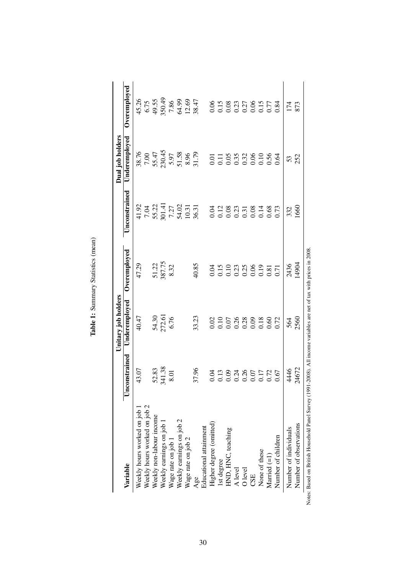|                              |                 | Unitary job holders                                                                                                                                                                                                                                                                                           |                         |                                                           | Dual job holders                                  |                                                              |
|------------------------------|-----------------|---------------------------------------------------------------------------------------------------------------------------------------------------------------------------------------------------------------------------------------------------------------------------------------------------------------|-------------------------|-----------------------------------------------------------|---------------------------------------------------|--------------------------------------------------------------|
| Variable                     | Unconstrained   | Underemployed                                                                                                                                                                                                                                                                                                 | <b>Overemployed</b>     | Unconstrained                                             | $\cup$ nderemployed                               | <b>Overemployed</b>                                          |
| Weekly hours worked on job 1 | 43.07           | 40.47                                                                                                                                                                                                                                                                                                         | 47.29                   |                                                           |                                                   |                                                              |
| Weekly hours worked on job 2 |                 |                                                                                                                                                                                                                                                                                                               |                         |                                                           |                                                   |                                                              |
| Weekly non-labour income     |                 |                                                                                                                                                                                                                                                                                                               |                         |                                                           |                                                   |                                                              |
| Weekly earnings on job 1     | 52.83<br>341.38 | 54.30<br>272.61<br>6.76                                                                                                                                                                                                                                                                                       | 51.22<br>387.75<br>8.32 |                                                           |                                                   |                                                              |
| Wage rate on job 1           | 8.01            |                                                                                                                                                                                                                                                                                                               |                         |                                                           |                                                   |                                                              |
| Weekly earnings on job 2     |                 |                                                                                                                                                                                                                                                                                                               |                         |                                                           |                                                   |                                                              |
| Wage rate on job 2           |                 |                                                                                                                                                                                                                                                                                                               |                         | 41.92<br>7.04<br>55.22<br>54.02<br>7.27<br>54.02<br>10.31 | 38.76<br>7.00<br>55.47<br>5.97<br>5.97<br>8.31.79 | 45.26<br>6.75<br>6.35.36<br>7.86<br>7.86<br>12.69<br>13.8.47 |
| Age                          | 37.96           | 33.23                                                                                                                                                                                                                                                                                                         | 40.85                   |                                                           |                                                   |                                                              |
| Educational attainment       |                 |                                                                                                                                                                                                                                                                                                               |                         |                                                           |                                                   |                                                              |
| Higher degree (omitted)      |                 |                                                                                                                                                                                                                                                                                                               |                         |                                                           |                                                   |                                                              |
| 1st degree                   |                 |                                                                                                                                                                                                                                                                                                               |                         |                                                           |                                                   |                                                              |
| HND, HNC, teaching           |                 |                                                                                                                                                                                                                                                                                                               |                         |                                                           |                                                   |                                                              |
| A level                      |                 |                                                                                                                                                                                                                                                                                                               |                         |                                                           |                                                   |                                                              |
| O level                      |                 |                                                                                                                                                                                                                                                                                                               |                         |                                                           |                                                   |                                                              |
| CSE                          |                 | $\begin{array}{c} 0.02 \\ 0.10 \\ 0.07 \\ 0.02 \\ 0.03 \\ 0.03 \\ 0.00 \\ 0.00 \\ 0.07 \\ 0.07 \\ 0.07 \\ 0.07 \\ 0.07 \\ 0.07 \\ 0.07 \\ 0.07 \\ 0.07 \\ 0.07 \\ 0.07 \\ 0.07 \\ 0.07 \\ 0.07 \\ 0.07 \\ 0.07 \\ 0.07 \\ 0.07 \\ 0.07 \\ 0.07 \\ 0.07 \\ 0.07 \\ 0.07 \\ 0.07 \\ 0.07 \\ 0.07 \\ 0.07 \\ 0.$ |                         | 0.12803778748                                             |                                                   |                                                              |
| None of these                |                 |                                                                                                                                                                                                                                                                                                               |                         |                                                           |                                                   |                                                              |
| Married $(=1)$               |                 |                                                                                                                                                                                                                                                                                                               |                         |                                                           |                                                   |                                                              |
| Number of children           | 0.67            |                                                                                                                                                                                                                                                                                                               |                         | 0.73                                                      | $\widetilde{R}$                                   |                                                              |
| Number of individuals        | 4446            | 564                                                                                                                                                                                                                                                                                                           | 2436                    | 332                                                       | 53                                                | 174                                                          |
| Number of observations       | 24672           | 2560                                                                                                                                                                                                                                                                                                          | 4904                    | 0991                                                      | 252                                               | 873                                                          |

Table 1: Summary Statistics (mean) Table 1: Summary Statistics (mean)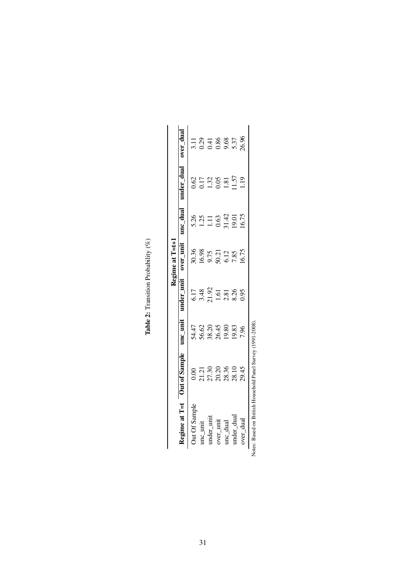|                                              |                                          |                                           |                                                                     | Regime at T=t+1                        |                                                   |                                                                                       |                                         |
|----------------------------------------------|------------------------------------------|-------------------------------------------|---------------------------------------------------------------------|----------------------------------------|---------------------------------------------------|---------------------------------------------------------------------------------------|-----------------------------------------|
|                                              | degime at $T = t$ Out of Sample          | $unc$ unit                                | under unit                                                          | over_unit                              | unc_dual                                          | under dual                                                                            | over_dual                               |
| out Of Sample                                |                                          |                                           |                                                                     |                                        |                                                   |                                                                                       |                                         |
| $\text{inc\_unit}$                           |                                          |                                           |                                                                     | 30.36<br>16.98<br>9.75<br>6.12<br>7.85 |                                                   | $\begin{array}{c} 0.62 \\ 0.17 \\ 1.32 \\ 0.05 \\ 1.81 \\ 1.57 \\ \hline \end{array}$ |                                         |
|                                              |                                          |                                           |                                                                     |                                        |                                                   |                                                                                       |                                         |
| $under\_unit$<br>$over\_unit$<br>$unc\_dual$ |                                          |                                           |                                                                     |                                        |                                                   |                                                                                       |                                         |
|                                              |                                          |                                           |                                                                     |                                        |                                                   |                                                                                       |                                         |
| mder_dual                                    | 0.00<br>21.30<br>20.20<br>28.30<br>29.45 | 54.47<br>56.62 8.83<br>58.84 8.83<br>7.96 | $6.17$<br>$3.48$<br>$21.51$<br>$3.81$<br>$3.83$<br>$3.59$<br>$3.59$ |                                        | 5.26<br>1.25<br>1.0.63<br>10.01<br>16.75<br>16.75 |                                                                                       | 0.29<br>0.41 86 86<br>0.0 9.69<br>26.96 |
| wer_dual                                     |                                          |                                           |                                                                     | 16.75                                  |                                                   | 1.19                                                                                  |                                         |

Table 2: Transition Probability  $(\%$ **Table 2: T**ransition Probability (%)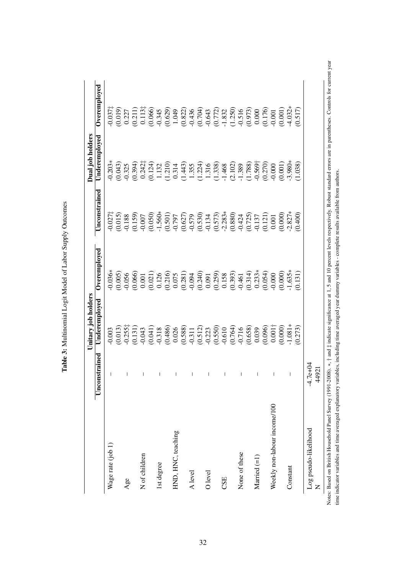|                              |                          | Unitary job holders |              |               | Dual job holders |              |
|------------------------------|--------------------------|---------------------|--------------|---------------|------------------|--------------|
|                              | Unconstrained            | Underemployed       | Overemployed | Unconstrained | Underemployed    | Overemployed |
| Wage rate (job 1)            | $\overline{\phantom{a}}$ | $-0.003$            | $-0.036*$    | $-0.0271$     | $-0.203*$        | $-0.037$     |
|                              |                          | (0.013)             | (0.005)      | (0.015)       | (0.043)          | (0.019)      |
| Age                          | $\overline{\phantom{a}}$ | $-0.255$ ‡          | $-0.056$     | $-0.188$      | $-0.325$         | 0.227        |
|                              |                          | (0.131)             | (0.066)      | (0.159)       | (0.394)          | (0.211)      |
| N of children                | I                        | $-0.043$            | 0.001        | $-0.007$      | 0.242            | 0.113        |
|                              |                          | (0.041)             | (0.021)      | (0.050)       | (0.124)          | (0.066)      |
| 1st degree                   | I                        | $-0.318$            | 0.126        | $-1.560*$     | 1.132            | $-0.345$     |
|                              |                          | (0.486)             | (0.216)      | (0.501)       | (1.210)          | (0.629)      |
| HND, HNC, teaching           |                          | 0.026               | 0.075        | $-0.797$      | 0.314            | 1.049        |
|                              |                          | (0.588)             | (0.281)      | (0.627)       | (1.443)          | (0.822)      |
| A level                      | I                        | $-0.311$            | $-0.094$     | $-0.579$      | 1.355            | $-0.436$     |
|                              |                          | (0.512)             | (0.240)      | (0.530)       | (1.224)          | (0.704)      |
| O level                      | $\overline{\phantom{a}}$ | $-0.223$            | 0.091        | $-0.134$      | 1.316            | $-0.643$     |
|                              |                          | (0.550)             | (0.259)      | (0.573)       | (1.338)          | (0.772)      |
| CSE                          | $\overline{\phantom{a}}$ | $-0.610$            | 0.158        | $-2.283*$     | $-1.468$         | $-1.832$     |
|                              |                          | (0.764)             | (0.393)      | (0.880)       | (2.102)          | (1.250)      |
| None of these                | I                        | $-0.716$            | $-0.461$     | $-0.424$      | $-1.389$         | $-0.516$     |
|                              |                          | (0.658)             | (0.314)      | (0.725)       | (1.788)          | (0.973)      |
| Married $(=1)$               | $\vert$                  | 0.039               | $0.233*$     | $-0.137$      | $-0.569\dagger$  | 0.000        |
|                              |                          | (0.096)             | (0.054)      | (0.121)       | (0.270)          | (0.176)      |
| Weekly non-labour income/100 | I                        | $0.001\dagger$      | $-0.000$     | 0.001         | 0.000            | $-0.001$     |
|                              |                          | (0.000)             | (0.000)      | (0.000)       | (0.001)          | (0.001)      |
| Constant                     |                          | $-1.081*$           | $-1.635*$    | $-2.827*$     | $-3.980*$        | $-4.032*$    |
|                              |                          | (0.273)             | (131)        | 0.400         | (1.038)          | (0.517)      |
| Log pseudo-likelihood        | $-4.7e+04$               |                     |              |               |                  |              |
| $\mathsf{z}$                 | 44921                    |                     |              |               |                  |              |

Table 3: Multinomial Logit Model of Labor Supply Outcomes Table 3: Multinomial Logit Model of Labor Supply Outcomes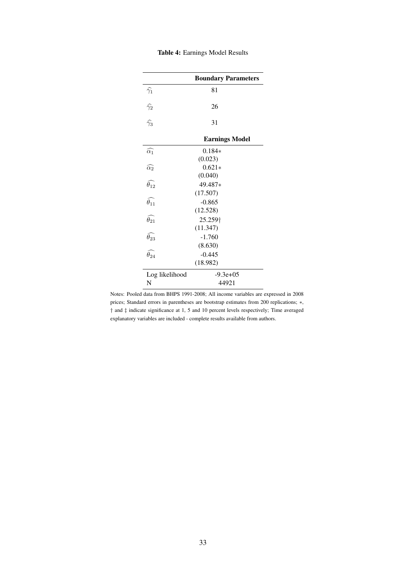|                         | <b>Boundary Parameters</b> |
|-------------------------|----------------------------|
| $\widehat{\gamma_1}$    | 81                         |
| $\widehat{\gamma_2}$    | 26                         |
| $\widehat{\gamma}_3$    | 31                         |
|                         | <b>Earnings Model</b>      |
| $\widehat{\alpha_1}$    | $0.184*$                   |
|                         | (0.023)                    |
| $\widehat{\alpha_2}$    | $0.621*$                   |
|                         | (0.040)                    |
| $\widehat{\theta_{12}}$ | 49.487*                    |
|                         | (17.507)                   |
| $\widehat{\theta}_{11}$ | $-0.865$                   |
|                         | (12.528)                   |
| $\widehat{\theta_{21}}$ | 25.259 <sup>+</sup>        |
|                         | (11.347)                   |
| $\widehat{\theta_{23}}$ | $-1.760$                   |
|                         | (8.630)                    |
| $\widehat{\theta_{24}}$ | $-0.445$                   |
|                         | (18.982)                   |
| Log likelihood          | $-9.3e+0.5$                |
| N                       | 44921                      |

Table 4: Earnings Model Results

Notes: Pooled data from BHPS 1991-2008; All income variables are expressed in 2008 prices; Standard errors in parentheses are bootstrap estimates from 200 replications; ∗, † and ‡ indicate significance at 1, 5 and 10 percent levels respectively; Time averaged explanatory variables are included - complete results available from authors.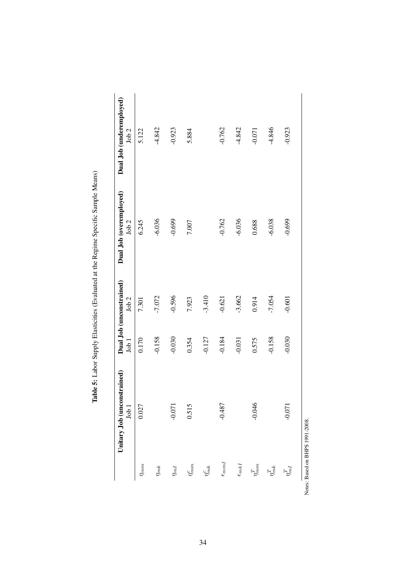|                  | Unitary Job (unconstrained)<br>Job <sub>1</sub> | Job <sub>1</sub> | Dual Job (unconstrained)<br>Job2 | Dual Job (overemployed)<br>Job2 | Dual Job (underemployed)<br>Job2 |
|------------------|-------------------------------------------------|------------------|----------------------------------|---------------------------------|----------------------------------|
| $\eta_{nm}$      | 0.027                                           | 0.170            | 7.301                            | 6.245                           | 5.122                            |
| $\eta_{mk}$      |                                                 | $-0.158$         | $-7.072$                         | $-6.036$                        | $-4.842$                         |
| $\eta_{mI}$      | $-0.071$                                        | $-0.030$         | $-0.596$                         | $-0.699$                        | $-0.923$                         |
| $\eta_{mm}^c$    | 0.515                                           | 0.354            | 7.923                            | 7.007                           | 5.884                            |
| $\eta_{mk}^c$    |                                                 | $-0.127$         | $-3.410$                         |                                 |                                  |
| $\epsilon_{mmI}$ | $-0.487$                                        | $-0.184$         | $-0.621$                         | $-0.762$                        | $-0.762$                         |
| $\epsilon_{mkI}$ |                                                 | $-0.031$         | $-3.662$                         | $-6.036$                        | $-4.842$                         |
| $\eta_{mn}^T$    | $-0.046$                                        | 0.575            | 0.914                            | 0.688                           | $-0.071$                         |
| $\eta_{mk}^T$    |                                                 | $-0.158$         | $-7.054$                         | $-6.038$                        | $-4.846$                         |
| $\eta_{ml}^T$    | $-0.071$                                        | $-0.030$         | $-0.601$                         | $-0.699$                        | $-0.923$                         |

Table 5: Labor Supply Elasticities (Evaluated at the Regime Specific Sample Means) Table 5: Labor Supply Elasticities (Evaluated at the Regime Specific Sample Means)

34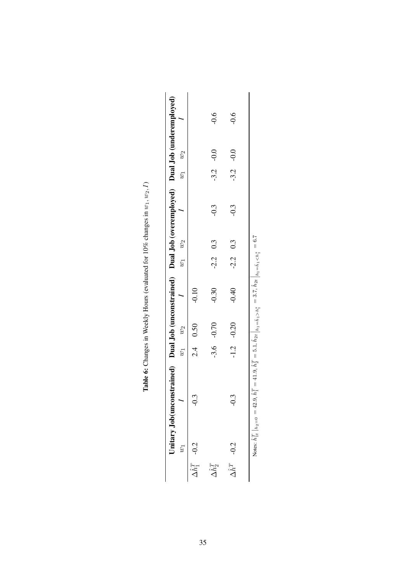|                               |                                                   | Unitary Job(unconstrained) Dual Job (unconstrained) Dual Job (overemployed) Dual Job (underemployed) |               |                                                                                                                                                     |            |             |        |              |        |
|-------------------------------|---------------------------------------------------|------------------------------------------------------------------------------------------------------|---------------|-----------------------------------------------------------------------------------------------------------------------------------------------------|------------|-------------|--------|--------------|--------|
|                               |                                                   |                                                                                                      | $w_1$ $w_2$   |                                                                                                                                                     |            | $w_1$ $w_2$ |        | $w_1$ $w_2$  |        |
| $\Delta \hat{h}_{1}^{T}$ -0.2 |                                                   | $-0.3$                                                                                               | $2.4$ 0.50    | $-0.10$                                                                                                                                             |            |             |        |              |        |
| $\Delta \hat{h}_2^T$          |                                                   |                                                                                                      | $-3.6 - 0.70$ | $-0.30$                                                                                                                                             | $-2.2$ 0.3 |             | $-0.3$ | $-3.2 - 0.0$ | $-0.6$ |
| $\Delta \hat{h}^T$ -0.2       |                                                   | $-0.3$                                                                                               | $-1.2 - 0.20$ | $-0.40$                                                                                                                                             | $-2.2$ 0.3 |             | $-0.3$ | $-3.2 - 0.0$ | $-0.6$ |
|                               | Notes: $\hat{h}_{1t}^T  _{h_2=0} = 42.9, \hat{h}$ |                                                                                                      |               | $\tilde{h}_1^T = 41.9, \tilde{h}_2^T = 5.1, \tilde{h}_{2t}  _{h_1 = \tilde{h}_1 > h_1^*} = 3.7, \tilde{h}_{2t}  _{h_1 = \tilde{h}_1 < h_1^*} = 6.7$ |            |             |        |              |        |

| I                                                  |
|----------------------------------------------------|
|                                                    |
|                                                    |
|                                                    |
| $\overline{1}$                                     |
|                                                    |
|                                                    |
|                                                    |
|                                                    |
| $\sqrt{2}$ obey and $\cos \theta$ in $\sin \theta$ |
|                                                    |
| $-5.4$                                             |
| ֧֧ׅ֧ׅ֧ׅ֧֧֧֪֪ׅ֧֚֚֚֚֚֚֚֚֚֚֚֚֚֚֚֚֚֚֚֝֝֝֜֜֝֜֝֟֝֟֝      |
|                                                    |
|                                                    |
|                                                    |
|                                                    |
| i                                                  |
| - 0<br>- 0<br>- 0<br>- 0<br>- 1                    |
| i                                                  |
|                                                    |
|                                                    |
| $\frac{1}{2}$                                      |
|                                                    |
|                                                    |
|                                                    |
|                                                    |
| <b>CANAGE</b>                                      |
| i<br>י<br>ב∙י                                      |
| .<br>:                                             |
| .<br>ڊ                                             |
| ŕ                                                  |
|                                                    |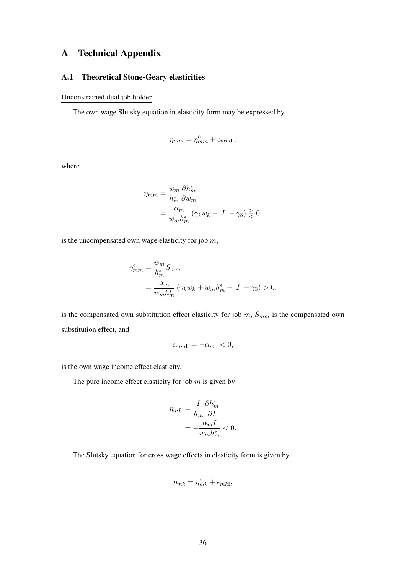## A Technical Appendix

### A.1 Theoretical Stone-Geary elasticities

#### Unconstrained dual job holder

The own wage Slutsky equation in elasticity form may be expressed by

$$
\eta_{mm} = \eta_{mm}^c + \epsilon_{mmI} ,
$$

where

$$
\eta_{mm} = \frac{w_m}{h_m^*} \frac{\partial h_m^*}{\partial w_m}
$$
  
= 
$$
\frac{\alpha_m}{w_m h_m^*} (\gamma_k w_k + I - \gamma_3) \geq 0,
$$

is the uncompensated own wage elasticity for job  $m$ ,

$$
\eta_{mm}^c = \frac{w_m}{h_m^*} S_{mm}
$$
  
= 
$$
\frac{\alpha_m}{w_m h_m^*} (\gamma_k w_k + w_m h_m^* + I - \gamma_3) > 0,
$$

is the compensated own substitution effect elasticity for job  $m$ ,  $S_{mm}$  is the compensated own substitution effect, and

$$
\epsilon_{mmI} = -\alpha_m < 0,
$$

is the own wage income effect elasticity.

The pure income effect elasticity for job  $m$  is given by

$$
\eta_{mI} = \frac{I}{h_m} \frac{\partial h_m^*}{\partial I}
$$

$$
= -\frac{\alpha_m I}{w_m h_m^*} < 0.
$$

The Slutsky equation for cross wage effects in elasticity form is given by

$$
\eta_{mk} = \eta_{mk}^c + \epsilon_{mkl},
$$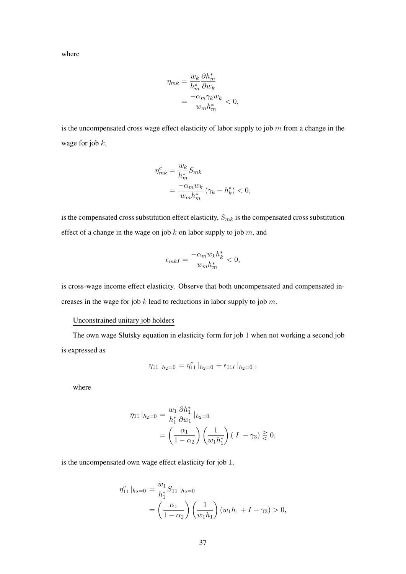where

$$
\eta_{mk} = \frac{w_k}{h_m^*} \frac{\partial h_m^*}{\partial w_k}
$$

$$
= \frac{-\alpha_m \gamma_k w_k}{w_m h_m^*} < 0,
$$

is the uncompensated cross wage effect elasticity of labor supply to job  $m$  from a change in the wage for job  $k$ ,

$$
\eta_{mk}^c = \frac{w_k}{h_m^*} S_{mk}
$$
  
= 
$$
\frac{-\alpha_m w_k}{w_m h_m^*} (\gamma_k - h_k^*) < 0,
$$

is the compensated cross substitution effect elasticity,  $S_{mk}$  is the compensated cross substitution effect of a change in the wage on job  $k$  on labor supply to job  $m$ , and

$$
\epsilon_{mkI} = \frac{-\alpha_m w_k h_k^*}{w_m h_m^*} < 0,
$$

is cross-wage income effect elasticity. Observe that both uncompensated and compensated increases in the wage for job  $k$  lead to reductions in labor supply to job  $m$ .

#### Unconstrained unitary job holders

The own wage Slutsky equation in elasticity form for job 1 when not working a second job is expressed as

$$
\eta_{11}|_{h_2=0}=\eta_{11}^c|_{h_2=0}+\epsilon_{11I}|_{h_2=0},
$$

where

$$
\eta_{11}|_{h_2=0} = \frac{w_1}{h_1^*} \frac{\partial h_1^*}{\partial w_1}|_{h_2=0}
$$
  
= 
$$
\left(\frac{\alpha_1}{1-\alpha_2}\right) \left(\frac{1}{w_1 h_1^*}\right) (I - \gamma_3) \geq 0,
$$

is the uncompensated own wage effect elasticity for job 1,

$$
\eta_{11}^c |_{h_2=0} = \frac{w_1}{h_1^*} S_{11} |_{h_2=0}
$$
  
=  $\left(\frac{\alpha_1}{1 - \alpha_2}\right) \left(\frac{1}{w_1 h_1}\right) (w_1 h_1 + I - \gamma_3) > 0,$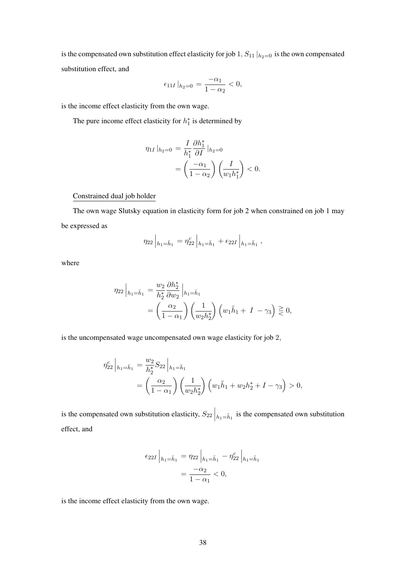is the compensated own substitution effect elasticity for job 1,  $S_{11}$   $|_{h_2=0}$  is the own compensated substitution effect, and

$$
\epsilon_{11I}|_{h_2=0} = \frac{-\alpha_1}{1-\alpha_2} < 0,
$$

is the income effect elasticity from the own wage.

The pure income effect elasticity for  $h_1^*$  is determined by

$$
\eta_{1I}|_{h_2=0} = \frac{I}{h_1^*} \frac{\partial h_1^*}{\partial I}|_{h_2=0}
$$
  
= 
$$
\left(\frac{-\alpha_1}{1-\alpha_2}\right) \left(\frac{I}{w_1 h_1^*}\right) < 0.
$$

#### Constrained dual job holder

The own wage Slutsky equation in elasticity form for job 2 when constrained on job 1 may be expressed as

$$
\eta_{22}\Big|_{h_1=\ddot{h}_1} = \eta_{22}^c\Big|_{h_1=\ddot{h}_1} + \epsilon_{22I}\Big|_{h_1=\ddot{h}_1},
$$

where

$$
\eta_{22} \Big|_{h_1 = \ddot{h}_1} = \frac{w_2}{h_2^*} \frac{\partial h_2^*}{\partial w_2} \Big|_{h_1 = \ddot{h}_1} \n= \left(\frac{\alpha_2}{1 - \alpha_1}\right) \left(\frac{1}{w_2 h_2^*}\right) \left(w_1 \ddot{h}_1 + I - \gamma_3\right) \geq 0,
$$

is the uncompensated wage uncompensated own wage elasticity for job 2,

$$
\eta_{22}^c \Big|_{h_1 = \ddot{h}_1} = \frac{w_2}{h_2^*} S_{22} \Big|_{h_1 = \ddot{h}_1} \n= \left(\frac{\alpha_2}{1 - \alpha_1}\right) \left(\frac{1}{w_2 h_2^*}\right) \left(w_1 \ddot{h}_1 + w_2 h_2^* + I - \gamma_3\right) > 0,
$$

is the compensated own substitution elasticity,  $S_{22}$   $\Big|_{h_1=\tilde{h}_1}$  is the compensated own substitution effect, and

$$
\epsilon_{22I} \Big|_{h_1 = \tilde{h}_1} = \eta_{22} \Big|_{h_1 = \tilde{h}_1} - \eta_{22}^c \Big|_{h_1 = \tilde{h}_1}
$$

$$
= \frac{-\alpha_2}{1 - \alpha_1} < 0,
$$

is the income effect elasticity from the own wage.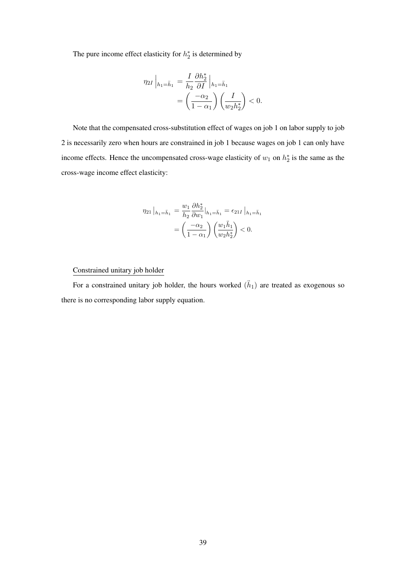The pure income effect elasticity for  $h_2^*$  is determined by

$$
\eta_{2I}\Big|_{h_1=\tilde{h}_1} = \frac{I}{h_2} \frac{\partial h_2^*}{\partial I}\Big|_{h_1=\tilde{h}_1}
$$
  
= 
$$
\left(\frac{-\alpha_2}{1-\alpha_1}\right)\left(\frac{I}{w_2 h_2^*}\right) < 0.
$$

Note that the compensated cross-substitution effect of wages on job 1 on labor supply to job 2 is necessarily zero when hours are constrained in job 1 because wages on job 1 can only have income effects. Hence the uncompensated cross-wage elasticity of  $w_1$  on  $h_2^*$  is the same as the cross-wage income effect elasticity:

$$
\eta_{21}|_{h_1=\ddot{h}_1} = \frac{w_1}{h_2} \frac{\partial h_2^*}{\partial w_1}|_{h_1=\ddot{h}_1} = \epsilon_{21I}|_{h_1=\ddot{h}_1}
$$

$$
= \left(\frac{-\alpha_2}{1-\alpha_1}\right) \left(\frac{w_1 \ddot{h}_1}{w_2 h_2^*}\right) < 0.
$$

#### Constrained unitary job holder

For a constrained unitary job holder, the hours worked  $(h_1)$  are treated as exogenous so there is no corresponding labor supply equation.